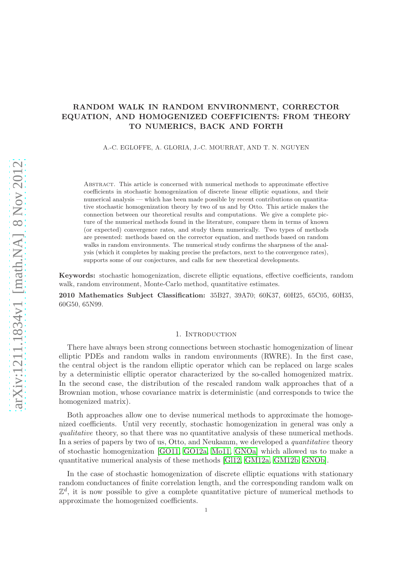# RANDOM WALK IN RANDOM ENVIRONMENT, CORRECTOR EQUATION, AND HOMOGENIZED COEFFICIENTS: FROM THEORY TO NUMERICS, BACK AND FORTH

A.-C. EGLOFFE, A. GLORIA, J.-C. MOURRAT, AND T. N. NGUYEN

Abstract. This article is concerned with numerical methods to approximate effective coefficients in stochastic homogenization of discrete linear elliptic equations, and their numerical analysis — which has been made possible by recent contributions on quantitative stochastic homogenization theory by two of us and by Otto. This article makes the connection between our theoretical results and computations. We give a complete picture of the numerical methods found in the literature, compare them in terms of known (or expected) convergence rates, and study them numerically. Two types of methods are presented: methods based on the corrector equation, and methods based on random walks in random environments. The numerical study confirms the sharpness of the analysis (which it completes by making precise the prefactors, next to the convergence rates), supports some of our conjectures, and calls for new theoretical developments.

Keywords: stochastic homogenization, discrete elliptic equations, effective coefficients, random walk, random environment, Monte-Carlo method, quantitative estimates.

2010 Mathematics Subject Classification: 35B27, 39A70; 60K37, 60H25, 65C05, 60H35, 60G50, 65N99.

#### 1. INTRODUCTION

There have always been strong connections between stochastic homogenization of linear elliptic PDEs and random walks in random environments (RWRE). In the first case, the central object is the random elliptic operator which can be replaced on large scales by a deterministic elliptic operator characterized by the so-called homogenized matrix. In the second case, the distribution of the rescaled random walk approaches that of a Brownian motion, whose covariance matrix is deterministic (and corresponds to twice the homogenized matrix).

Both approaches allow one to devise numerical methods to approximate the homogenized coefficients. Until very recently, stochastic homogenization in general was only a qualitative theory, so that there was no quantitative analysis of these numerical methods. In a series of papers by two of us, Otto, and Neukamm, we developed a *quantitative* theory of stochastic homogenization [\[GO11,](#page-42-0) [GO12a,](#page-42-1) [Mo11,](#page-42-2) [GNOa\]](#page-42-3) which allowed us to make a quantitative numerical analysis of these methods [\[Gl12,](#page-42-4) [GM12a,](#page-42-5) [GM12b,](#page-42-6) [GNOb\]](#page-42-7).

In the case of stochastic homogenization of discrete elliptic equations with stationary random conductances of finite correlation length, and the corresponding random walk on  $\mathbb{Z}^d$ , it is now possible to give a complete quantitative picture of numerical methods to approximate the homogenized coefficients.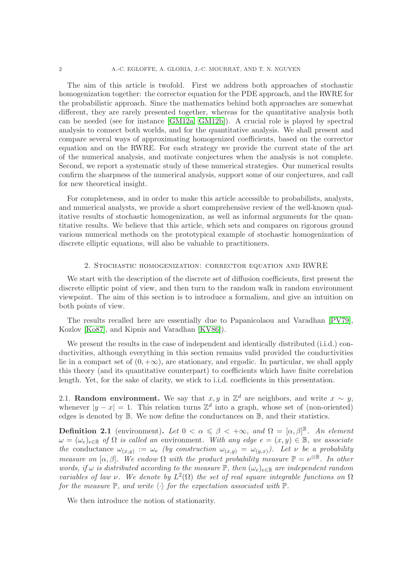The aim of this article is twofold. First we address both approaches of stochastic homogenization together: the corrector equation for the PDE approach, and the RWRE for the probabilistic approach. Since the mathematics behind both approaches are somewhat different, they are rarely presented together, whereas for the quantitative analysis both can be needed (see for instance [\[GM12a,](#page-42-5) [GM12b\]](#page-42-6)). A crucial role is played by spectral analysis to connect both worlds, and for the quantitative analysis. We shall present and compare several ways of approximating homogenized coefficients, based on the corrector equation and on the RWRE. For each strategy we provide the current state of the art of the numerical analysis, and motivate conjectures when the analysis is not complete. Second, we report a systematic study of these numerical strategies. Our numerical results confirm the sharpness of the numerical analysis, support some of our conjectures, and call for new theoretical insight.

For completeness, and in order to make this article accessible to probabilists, analysts, and numerical analysts, we provide a short comprehensive review of the well-known qualitative results of stochastic homogenization, as well as informal arguments for the quantitative results. We believe that this article, which sets and compares on rigorous ground various numerical methods on the prototypical example of stochastic homogenization of discrete elliptic equations, will also be valuable to practitioners.

#### 2. Stochastic homogenization: corrector equation and RWRE

We start with the description of the discrete set of diffusion coefficients, first present the discrete elliptic point of view, and then turn to the random walk in random environment viewpoint. The aim of this section is to introduce a formalism, and give an intuition on both points of view.

The results recalled here are essentially due to Papanicolaou and Varadhan [\[PV79\]](#page-42-8), Kozlov [\[Ko87\]](#page-42-9), and Kipnis and Varadhan [\[KV86\]](#page-42-10)).

We present the results in the case of independent and identically distributed (i.i.d.) conductivities, although everything in this section remains valid provided the conductivities lie in a compact set of  $(0, +\infty)$ , are stationary, and ergodic. In particular, we shall apply this theory (and its quantitative counterpart) to coefficients which have finite correlation length. Yet, for the sake of clarity, we stick to i.i.d. coefficients in this presentation.

2.1. Random environment. We say that  $x, y$  in  $\mathbb{Z}^d$  are neighbors, and write  $x \sim y$ , whenever  $|y - x| = 1$ . This relation turns  $\mathbb{Z}^d$  into a graph, whose set of (non-oriented) edges is denoted by B. We now define the conductances on B, and their statistics.

<span id="page-1-0"></span>**Definition 2.1** (environment). Let  $0 < \alpha \leq \beta < +\infty$ , and  $\Omega = [\alpha, \beta]^{\mathbb{B}}$ . An element  $\omega = (\omega_e)_{e \in \mathbb{B}}$  of  $\Omega$  is called an environment. With any edge  $e = (x, y) \in \mathbb{B}$ , we associate the conductance  $\omega_{(x,y)} := \omega_e$  (by construction  $\omega_{(x,y)} = \omega_{(y,x)}$ ). Let v be a probability measure on  $[\alpha, \beta]$ . We endow  $\Omega$  with the product probability measure  $\mathbb{P} = \nu^{\otimes \mathbb{B}}$ . In other words, if  $\omega$  is distributed according to the measure  $\mathbb{P}$ , then  $(\omega_e)_{e \in \mathbb{B}}$  are independent random variables of law  $\nu$ . We denote by  $L^2(\Omega)$  the set of real square integrable functions on  $\Omega$ for the measure  $\mathbb{P}$ , and write  $\langle \cdot \rangle$  for the expectation associated with  $\mathbb{P}$ .

We then introduce the notion of stationarity.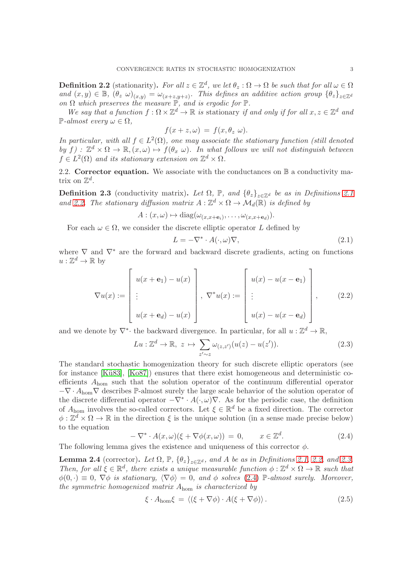<span id="page-2-0"></span>**Definition 2.2** (stationarity). For all  $z \in \mathbb{Z}^d$ , we let  $\theta_z : \Omega \to \Omega$  be such that for all  $\omega \in \Omega$ and  $(x, y) \in \mathbb{B}$ ,  $(\theta_z \omega)_{(x,y)} = \omega_{(x+z,y+z)}$ . This defines an additive action group  $\{\theta_z\}_{z \in \mathbb{Z}^d}$ on  $\Omega$  which preserves the measure  $\mathbb{P}$ , and is ergodic for  $\mathbb{P}$ .

We say that a function  $f : \Omega \times \mathbb{Z}^d \to \mathbb{R}$  is stationary if and only if for all  $x, z \in \mathbb{Z}^d$  and  $\mathbb{P}\text{-}almost every \omega \in \Omega.$ 

$$
f(x+z,\omega) = f(x,\theta_z \omega).
$$

In particular, with all  $f \in L^2(\Omega)$ , one may associate the stationary function (still denoted by  $f: \mathbb{Z}^d \times \Omega \to \mathbb{R}, (x, \omega) \mapsto f(\theta_x, \omega)$ . In what follows we will not distinguish between  $f \in L^2(\Omega)$  and its stationary extension on  $\mathbb{Z}^d \times \Omega$ .

<span id="page-2-5"></span>2.2. Corrector equation. We associate with the conductances on  $\mathbb B$  a conductivity matrix on  $\mathbb{Z}^d$ .

<span id="page-2-1"></span>**Definition 2.3** (conductivity matrix). Let  $\Omega$ , P, and  $\{\theta_z\}_{z\in\mathbb{Z}^d}$  be as in Definitions [2.1](#page-1-0) and [2.2.](#page-2-0) The stationary diffusion matrix  $A : \mathbb{Z}^d \times \Omega \to \mathcal{M}_d(\mathbb{R})$  is defined by

$$
A:(x,\omega)\mapsto \mathrm{diag}(\omega_{(x,x+\mathbf{e}_i)},\ldots,\omega_{(x,x+\mathbf{e}_d)}).
$$

For each  $\omega \in \Omega$ , we consider the discrete elliptic operator L defined by

<span id="page-2-4"></span>
$$
L = -\nabla^* \cdot A(\cdot, \omega) \nabla, \tag{2.1}
$$

where  $\nabla$  and  $\nabla^*$  are the forward and backward discrete gradients, acting on functions  $u: \mathbb{Z}^d \to \mathbb{R}$  by

$$
\nabla u(x) := \begin{bmatrix} u(x + \mathbf{e}_1) - u(x) \\ \vdots \\ u(x + \mathbf{e}_d) - u(x) \end{bmatrix}, \nabla^* u(x) := \begin{bmatrix} u(x) - u(x - \mathbf{e}_1) \\ \vdots \\ u(x) - u(x - \mathbf{e}_d) \end{bmatrix}, \qquad (2.2)
$$

and we denote by  $\nabla^*$  the backward divergence. In particular, for all  $u : \mathbb{Z}^d \to \mathbb{R}$ ,

<span id="page-2-6"></span>
$$
Lu: \mathbb{Z}^d \to \mathbb{R}, \ z \mapsto \sum_{z' \sim z} \omega_{(z, z')} (u(z) - u(z')). \tag{2.3}
$$

The standard stochastic homogenization theory for such discrete elliptic operators (see for instance  $[K\ddot{u}83]$ ,  $[K\ddot{o}87]$  ensures that there exist homogeneous and deterministic coefficients Ahom such that the solution operator of the continuum differential operator  $-\nabla \cdot A_{\text{hom}}\nabla$  describes P-almost surely the large scale behavior of the solution operator of the discrete differential operator  $-\nabla^* \cdot A(\cdot,\omega)\nabla$ . As for the periodic case, the definition of  $A_{\text{hom}}$  involves the so-called correctors. Let  $\xi \in \mathbb{R}^d$  be a fixed direction. The corrector  $\phi: \mathbb{Z}^d \times \Omega \to \mathbb{R}$  in the direction  $\xi$  is the unique solution (in a sense made precise below) to the equation

<span id="page-2-2"></span>
$$
-\nabla^* \cdot A(x,\omega)(\xi + \nabla \phi(x,\omega)) = 0, \qquad x \in \mathbb{Z}^d. \tag{2.4}
$$

The following lemma gives the existence and uniqueness of this corrector  $\phi$ .

<span id="page-2-3"></span>**Lemma 2.4** (corrector). Let  $\Omega$ ,  $\mathbb{P}$ ,  $\{\theta_z\}_{z \in \mathbb{Z}^d}$ , and A be as in Definitions [2.1,](#page-1-0) [2.2,](#page-2-0) and [2.3.](#page-2-1) Then, for all  $\xi \in \mathbb{R}^d$ , there exists a unique measurable function  $\phi : \mathbb{Z}^d \times \Omega \to \mathbb{R}$  such that  $\phi(0, \cdot) \equiv 0$ ,  $\nabla \phi$  is stationary,  $\langle \nabla \phi \rangle = 0$ , and  $\phi$  solves [\(2.4\)](#page-2-2) P-almost surely. Moreover, the symmetric homogenized matrix  $A_{\text{hom}}$  is characterized by

<span id="page-2-7"></span>
$$
\xi \cdot A_{\text{hom}} \xi = \langle (\xi + \nabla \phi) \cdot A(\xi + \nabla \phi) \rangle. \tag{2.5}
$$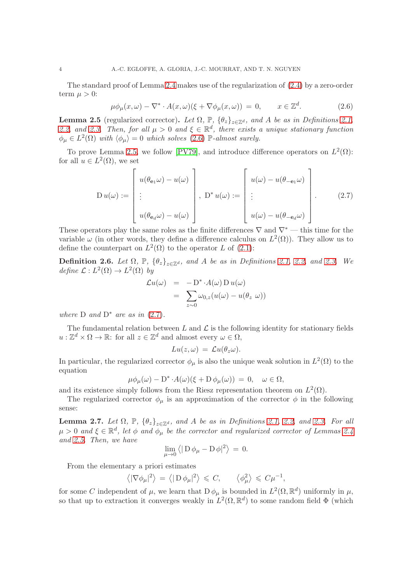The standard proof of Lemma [2.4](#page-2-3) makes use of the regularization of [\(2.4\)](#page-2-2) by a zero-order term  $\mu > 0$ :

<span id="page-3-0"></span>
$$
\mu \phi_{\mu}(x,\omega) - \nabla^* \cdot A(x,\omega)(\xi + \nabla \phi_{\mu}(x,\omega)) = 0, \qquad x \in \mathbb{Z}^d. \tag{2.6}
$$

<span id="page-3-1"></span>**Lemma 2.5** (regularized corrector). Let  $\Omega$ ,  $\mathbb{P}$ ,  $\{\theta_z\}_{z \in \mathbb{Z}^d}$ , and A be as in Definitions [2.1,](#page-1-0) [2.2,](#page-2-0) and [2.3.](#page-2-1) Then, for all  $\mu > 0$  and  $\xi \in \mathbb{R}^d$ , there exists a unique stationary function  $\phi_{\mu} \in L^2(\Omega)$  with  $\langle \phi_{\mu} \rangle = 0$  which solves [\(2.6\)](#page-3-0)  $\mathbb{P}\text{-almost surely.}$ 

To prove Lemma [2.5,](#page-3-1) we follow [\[PV79\]](#page-42-8), and introduce difference operators on  $L^2(\Omega)$ : for all  $u \in L^2(\Omega)$ , we set

<span id="page-3-2"></span>
$$
D u(\omega) := \begin{bmatrix} u(\theta_{\mathbf{e}_1}\omega) - u(\omega) \\ \vdots \\ u(\theta_{\mathbf{e}_d}\omega) - u(\omega) \end{bmatrix}, \ D^* u(\omega) := \begin{bmatrix} u(\omega) - u(\theta_{-\mathbf{e}_1}\omega) \\ \vdots \\ u(\omega) - u(\theta_{-\mathbf{e}_d}\omega) \end{bmatrix}.
$$
 (2.7)

These operators play the same roles as the finite differences  $\nabla$  and  $\nabla^*$  — this time for the variable  $\omega$  (in other words, they define a difference calculus on  $L^2(\Omega)$ ). They allow us to define the counterpart on  $L^2(\Omega)$  to the operator L of [\(2.1\)](#page-2-4):

<span id="page-3-4"></span>**Definition 2.6.** Let  $\Omega$ ,  $\mathbb{P}$ ,  $\{\theta_z\}_{z \in \mathbb{Z}^d}$ , and A be as in Definitions [2.1,](#page-1-0) [2.2,](#page-2-0) and [2.3.](#page-2-1) We define  $\mathcal{L}: L^2(\Omega) \to L^2(\Omega)$  by

$$
\mathcal{L}u(\omega) = -\mathcal{D}^* \cdot A(\omega) \mathcal{D} u(\omega)
$$
  
= 
$$
\sum_{z \sim 0} \omega_{0,z}(u(\omega) - u(\theta_z \omega))
$$

where  $D$  and  $D^*$  are as in [\(2.7\)](#page-3-2).

The fundamental relation between  $L$  and  $\mathcal L$  is the following identity for stationary fields  $u: \mathbb{Z}^d \times \Omega \to \mathbb{R}$ : for all  $z \in \mathbb{Z}^d$  and almost every  $\omega \in \Omega$ ,

$$
Lu(z,\omega) = \mathcal{L}u(\theta_z\omega).
$$

In particular, the regularized corrector  $\phi_{\mu}$  is also the unique weak solution in  $L^2(\Omega)$  to the equation

$$
\mu \phi_{\mu}(\omega) - D^* \cdot A(\omega) (\xi + D \phi_{\mu}(\omega)) = 0, \quad \omega \in \Omega,
$$

and its existence simply follows from the Riesz representation theorem on  $L^2(\Omega)$ .

The regularized corrector  $\phi_{\mu}$  is an approximation of the corrector  $\phi$  in the following sense:

<span id="page-3-3"></span>**Lemma 2.7.** Let  $\Omega$ ,  $\mathbb{P}$ ,  $\{\theta_z\}_{z \in \mathbb{Z}^d}$ , and A be as in Definitions [2.1,](#page-1-0) [2.2,](#page-2-0) and [2.3.](#page-2-1) For all  $\mu > 0$  and  $\xi \in \mathbb{R}^d$ , let  $\phi$  and  $\phi_{\mu}$  be the corrector and regularized corrector of Lemmas [2.4](#page-2-3) and [2.5.](#page-3-1) Then, we have

$$
\lim_{\mu \to 0} \langle | \mathbf{D} \phi_{\mu} - \mathbf{D} \phi |^2 \rangle = 0.
$$

From the elementary a priori estimates

$$
\left\langle |\nabla \phi_{\mu}|^2 \right\rangle = \left\langle |\mathbf{D} \phi_{\mu}|^2 \right\rangle \leq C, \qquad \left\langle \phi_{\mu}^2 \right\rangle \leq C \mu^{-1},
$$

for some C independent of  $\mu$ , we learn that  $D \phi_{\mu}$  is bounded in  $L^2(\Omega, \mathbb{R}^d)$  uniformly in  $\mu$ , so that up to extraction it converges weakly in  $L^2(\Omega, \mathbb{R}^d)$  to some random field  $\Phi$  (which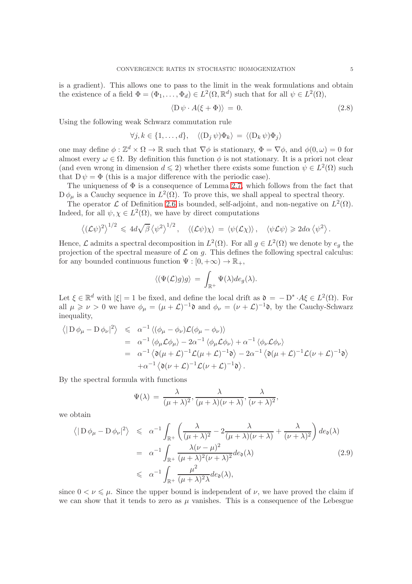is a gradient). This allows one to pass to the limit in the weak formulations and obtain the existence of a field  $\Phi = (\Phi_1, \dots, \Phi_d) \in L^2(\Omega, \mathbb{R}^d)$  such that for all  $\psi \in L^2(\Omega)$ ,

<span id="page-4-0"></span>
$$
\langle D \psi \cdot A(\xi + \Phi) \rangle = 0. \tag{2.8}
$$

Using the following weak Schwarz commutation rule

$$
\forall j, k \in \{1, \dots, d\}, \quad \langle (D_j \psi) \Phi_k \rangle = \langle (D_k \psi) \Phi_j \rangle
$$

one may define  $\phi : \mathbb{Z}^d \times \Omega \to \mathbb{R}$  such that  $\nabla \phi$  is stationary,  $\Phi = \nabla \phi$ , and  $\phi(0, \omega) = 0$  for almost every  $\omega \in \Omega$ . By definition this function  $\phi$  is not stationary. It is a priori not clear (and even wrong in dimension  $d \leq 2$ ) whether there exists some function  $\psi \in L^2(\Omega)$  such that  $D \psi = \Phi$  (this is a major difference with the periodic case).

The uniqueness of  $\Phi$  is a consequence of Lemma [2.7,](#page-3-3) which follows from the fact that  $D\,\phi_\mu$  is a Cauchy sequence in  $L^2(\Omega)$ . To prove this, we shall appeal to spectral theory.

The operator  $\mathcal L$  of Definition [2.6](#page-3-4) is bounded, self-adjoint, and non-negative on  $L^2(\Omega)$ . Indeed, for all  $\psi, \chi \in L^2(\Omega)$ , we have by direct computations

$$
\langle (\mathcal{L}\psi)^2 \rangle^{1/2} \leq 4d\sqrt{\beta} \langle \psi^2 \rangle^{1/2}, \quad \langle (\mathcal{L}\psi)\chi \rangle = \langle \psi(\mathcal{L}\chi) \rangle, \quad \langle \psi \mathcal{L}\psi \rangle \geq 2d\alpha \langle \psi^2 \rangle.
$$

Hence,  $\mathcal L$  admits a spectral decomposition in  $L^2(\Omega)$ . For all  $g \in L^2(\Omega)$  we denote by  $e_g$  the projection of the spectral measure of  $\mathcal L$  on g. This defines the following spectral calculus: for any bounded continuous function  $\Psi : [0, +\infty) \to \mathbb{R}_+,$ 

$$
\langle (\Psi(\mathcal{L})g)g\rangle = \int_{\mathbb{R}^+} \Psi(\lambda)de_g(\lambda).
$$

Let  $\xi \in \mathbb{R}^d$  with  $|\xi| = 1$  be fixed, and define the local drift as  $\mathfrak{d} = -D^* \cdot A\xi \in L^2(\Omega)$ . For all  $\mu \geq \nu > 0$  we have  $\phi_{\mu} = (\mu + \mathcal{L})^{-1} \mathfrak{d}$  and  $\phi_{\nu} = (\nu + \mathcal{L})^{-1} \mathfrak{d}$ , by the Cauchy-Schwarz inequality,

$$
\langle | D \phi_{\mu} - D \phi_{\nu} |^2 \rangle \leq \alpha^{-1} \langle (\phi_{\mu} - \phi_{\nu}) \mathcal{L} (\phi_{\mu} - \phi_{\nu}) \rangle
$$
  
=  $\alpha^{-1} \langle \phi_{\mu} \mathcal{L} \phi_{\mu} \rangle - 2\alpha^{-1} \langle \phi_{\mu} \mathcal{L} \phi_{\nu} \rangle + \alpha^{-1} \langle \phi_{\nu} \mathcal{L} \phi_{\nu} \rangle$   
=  $\alpha^{-1} \langle \mathfrak{d} (\mu + \mathcal{L})^{-1} \mathcal{L} (\mu + \mathcal{L})^{-1} \mathfrak{d} \rangle - 2\alpha^{-1} \langle \mathfrak{d} (\mu + \mathcal{L})^{-1} \mathcal{L} (\nu + \mathcal{L})^{-1} \mathfrak{d} \rangle$   
+  $\alpha^{-1} \langle \mathfrak{d} (\nu + \mathcal{L})^{-1} \mathcal{L} (\nu + \mathcal{L})^{-1} \mathfrak{d} \rangle$ .

By the spectral formula with functions

$$
\Psi(\lambda) = \frac{\lambda}{(\mu + \lambda)^2}, \frac{\lambda}{(\mu + \lambda)(\nu + \lambda)}, \frac{\lambda}{(\nu + \lambda)^2},
$$

we obtain

<span id="page-4-1"></span>
$$
\langle | D \phi_{\mu} - D \phi_{\nu} |^{2} \rangle \leq \alpha^{-1} \int_{\mathbb{R}^{+}} \left( \frac{\lambda}{(\mu + \lambda)^{2}} - 2 \frac{\lambda}{(\mu + \lambda)(\nu + \lambda)} + \frac{\lambda}{(\nu + \lambda)^{2}} \right) de_{\mathfrak{d}}(\lambda)
$$
  

$$
= \alpha^{-1} \int_{\mathbb{R}^{+}} \frac{\lambda(\nu - \mu)^{2}}{(\mu + \lambda)^{2}(\nu + \lambda)^{2}} de_{\mathfrak{d}}(\lambda)
$$
(2.9)  

$$
\leq \alpha^{-1} \int_{\mathbb{R}^{+}} \frac{\mu^{2}}{(\mu + \lambda)^{2} \lambda} de_{\mathfrak{d}}(\lambda),
$$

since  $0 < \nu \leq \mu$ . Since the upper bound is independent of  $\nu$ , we have proved the claim if we can show that it tends to zero as  $\mu$  vanishes. This is a consequence of the Lebesgue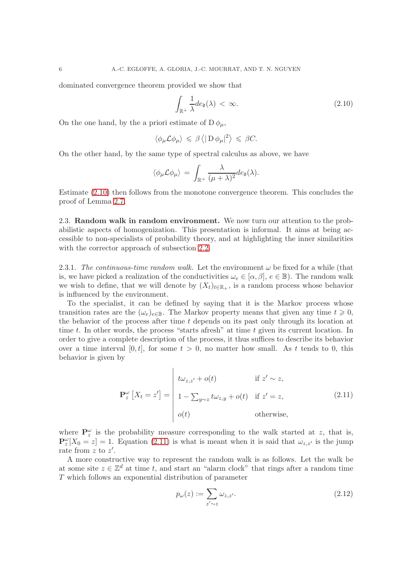dominated convergence theorem provided we show that

<span id="page-5-0"></span>
$$
\int_{\mathbb{R}^+} \frac{1}{\lambda} de_0(\lambda) < \infty. \tag{2.10}
$$

On the one hand, by the a priori estimate of  $D\phi_\mu$ ,

$$
\langle \phi_{\mu} \mathcal{L} \phi_{\mu} \rangle \leq \beta \langle |\mathcal{D} \phi_{\mu}|^2 \rangle \leq \beta C.
$$

On the other hand, by the same type of spectral calculus as above, we have

$$
\langle \phi_{\mu} \mathcal{L} \phi_{\mu} \rangle = \int_{\mathbb{R}^{+}} \frac{\lambda}{(\mu + \lambda)^{2}} d e_{\mathfrak{d}}(\lambda).
$$

Estimate [\(2.10\)](#page-5-0) then follows from the monotone convergence theorem. This concludes the proof of Lemma [2.7.](#page-3-3)

2.3. Random walk in random environment. We now turn our attention to the probabilistic aspects of homogenization. This presentation is informal. It aims at being accessible to non-specialists of probability theory, and at highlighting the inner similarities with the corrector approach of subsection [2.2.](#page-2-5)

<span id="page-5-2"></span>2.3.1. The continuous-time random walk. Let the environment  $\omega$  be fixed for a while (that is, we have picked a realization of the conductivities  $\omega_e \in [\alpha, \beta], e \in \mathbb{B}$ ). The random walk we wish to define, that we will denote by  $(X_t)_{t\in\mathbb{R}_+}$ , is a random process whose behavior is influenced by the environment.

To the specialist, it can be defined by saying that it is the Markov process whose transition rates are the  $(\omega_e)_{e \in \mathbb{B}}$ . The Markov property means that given any time  $t \geq 0$ , the behavior of the process after time  $t$  depends on its past only through its location at time t. In other words, the process "starts afresh" at time t given its current location. In order to give a complete description of the process, it thus suffices to describe its behavior over a time interval  $[0, t]$ , for some  $t > 0$ , no matter how small. As t tends to 0, this behavior is given by

 $\overline{1}$ 

<span id="page-5-1"></span>
$$
\mathbf{P}_{z}^{\omega}\left[X_{t}=z'\right]=\begin{vmatrix} t\omega_{z,z'}+o(t) & \text{if } z' \sim z, \\ 1-\sum_{y\sim z} t\omega_{z,y}+o(t) & \text{if } z'=z, \\ o(t) & \text{otherwise,} \end{vmatrix}
$$
(2.11)

where  $\mathbf{P}_{z}^{\omega}$  is the probability measure corresponding to the walk started at z, that is,  $\mathbf{P}_{z}^{\omega}[X_{0}=z]=1$ . Equation [\(2.11\)](#page-5-1) is what is meant when it is said that  $\omega_{z,z'}$  is the jump rate from  $z$  to  $z'$ .

A more constructive way to represent the random walk is as follows. Let the walk be at some site  $z \in \mathbb{Z}^d$  at time t, and start an "alarm clock" that rings after a random time T which follows an exponential distribution of parameter

<span id="page-5-3"></span>
$$
p_{\omega}(z) := \sum_{z' \sim z} \omega_{z, z'}.
$$
\n(2.12)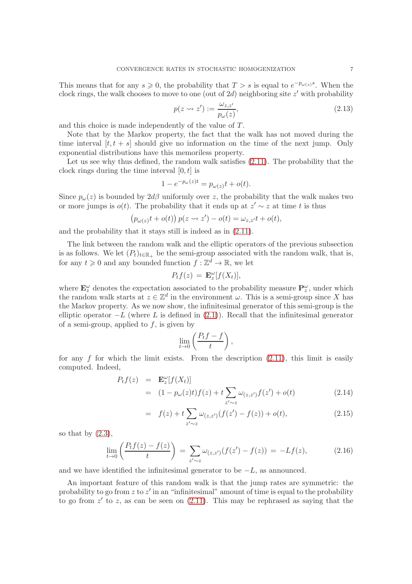This means that for any  $s \geq 0$ , the probability that  $T > s$  is equal to  $e^{-p_{\omega(z)}s}$ . When the clock rings, the walk chooses to move to one (out of  $2d$ ) neighboring site  $z'$  with probability

<span id="page-6-1"></span>
$$
p(z \leadsto z') := \frac{\omega_{z,z'}}{p_\omega(z)},\tag{2.13}
$$

and this choice is made independently of the value of T.

Note that by the Markov property, the fact that the walk has not moved during the time interval  $[t, t + s]$  should give no information on the time of the next jump. Only exponential distributions have this memoriless property.

Let us see why thus defined, the random walk satisfies  $(2.11)$ . The probability that the clock rings during the time interval  $[0, t]$  is

$$
1 - e^{-p_{\omega}(z)t} = p_{\omega(z)}t + o(t).
$$

Since  $p_{\omega}(z)$  is bounded by  $2d\beta$  uniformly over z, the probability that the walk makes two or more jumps is  $o(t)$ . The probability that it ends up at  $z' \sim z$  at time t is thus

$$
(p_{\omega(z)}t + o(t)) p(z \leadsto z') - o(t) = \omega_{z,z'}t + o(t),
$$

and the probability that it stays still is indeed as in [\(2.11\)](#page-5-1).

The link between the random walk and the elliptic operators of the previous subsection is as follows. We let  $(P_t)_{t \in \mathbb{R}_+}$  be the semi-group associated with the random walk, that is, for any  $t \geq 0$  and any bounded function  $f : \mathbb{Z}^d \to \mathbb{R}$ , we let

$$
P_t f(z) = \mathbf{E}_z^{\omega} [f(X_t)],
$$

where  $\mathbf{E}_{z}^{\omega}$  denotes the expectation associated to the probability measure  $\mathbf{P}_{z}^{\omega}$ , under which the random walk starts at  $z \in \mathbb{Z}^d$  in the environment  $\omega$ . This is a semi-group since X has the Markov property. As we now show, the infinitesimal generator of this semi-group is the elliptic operator  $-L$  (where L is defined in [\(2.1\)](#page-2-4)). Recall that the infinitesimal generator of a semi-group, applied to  $f$ , is given by

$$
\lim_{t \to 0} \left( \frac{P_t f - f}{t} \right),
$$

for any f for which the limit exists. From the description  $(2.11)$ , this limit is easily computed. Indeed,

$$
P_t f(z) = \mathbf{E}_z^{\omega} [f(X_t)]
$$
  
= 
$$
(1 - p_{\omega}(z)t) f(z) + t \sum_{z' \sim z} \omega_{(z, z')} f(z') + o(t)
$$
 (2.14)

$$
= f(z) + t \sum_{z' \sim z} \omega_{(z, z')} (f(z') - f(z)) + o(t), \qquad (2.15)
$$

so that by  $(2.3)$ ,

<span id="page-6-0"></span>
$$
\lim_{t \to 0} \left( \frac{P_t f(z) - f(z)}{t} \right) = \sum_{z' \sim z} \omega_{(z, z')} (f(z') - f(z)) = -Lf(z), \tag{2.16}
$$

and we have identified the infinitesimal generator to be  $-L$ , as announced.

An important feature of this random walk is that the jump rates are symmetric: the probability to go from  $z$  to  $z'$  in an "infinitesimal" amount of time is equal to the probability to go from  $z'$  to z, as can be seen on  $(2.11)$ . This may be rephrased as saying that the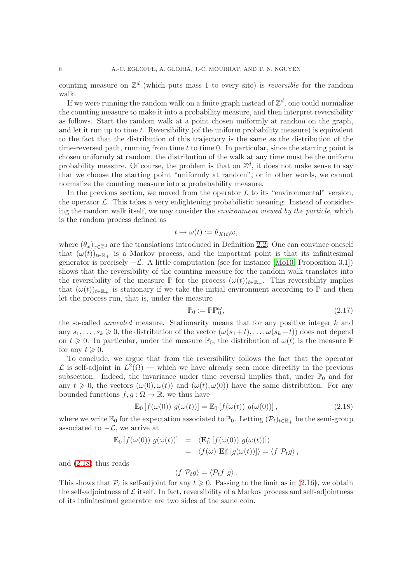counting measure on  $\mathbb{Z}^d$  (which puts mass 1 to every site) is *reversible* for the random walk.

If we were running the random walk on a finite graph instead of  $\mathbb{Z}^d$ , one could normalize the counting measure to make it into a probability measure, and then interpret reversibility as follows. Start the random walk at a point chosen uniformly at random on the graph, and let it run up to time t. Reversibility (of the uniform probability measure) is equivalent to the fact that the distribution of this trajectory is the same as the distribution of the time-reversed path, running from time  $t$  to time 0. In particular, since the starting point is chosen uniformly at random, the distribution of the walk at any time must be the uniform probability measure. Of course, the problem is that on  $\mathbb{Z}^d$ , it does not make sense to say that we choose the starting point "uniformly at random", or in other words, we cannot normalize the counting measure into a probabability measure.

In the previous section, we moved from the operator  $L$  to its "environmental" version, the operator  $\mathcal{L}$ . This takes a very enlightening probabilistic meaning. Instead of considering the random walk itself, we may consider the environment viewed by the particle, which is the random process defined as

$$
t\mapsto \omega(t):=\theta_{X(t)}\omega,
$$

where  $(\theta_x)_{x\in\mathbb{Z}^d}$  are the translations introduced in Definition [2.2.](#page-2-0) One can convince oneself that  $(\omega(t))_{t\in\mathbb{R}_+}$  is a Markov process, and the important point is that its infinitesimal generator is precisely  $-\mathcal{L}$ . A little computation (see for instance [\[Mo10,](#page-42-12) Proposition 3.1]) shows that the reversibility of the counting measure for the random walk translates into the reversibility of the measure  $\mathbb P$  for the process  $(\omega(t))_{t\in\mathbb{R}_+}$ . This reversibility implies that  $(\omega(t))_{t\in\mathbb{R}_+}$  is stationary if we take the initial environment according to P and then let the process run, that is, under the measure

$$
\mathbb{P}_0 := \mathbb{P}\mathbf{P}_0^{\omega},\tag{2.17}
$$

the so-called *annealed* measure. Stationarity means that for any positive integer  $k$  and any  $s_1, \ldots, s_k \geq 0$ , the distribution of the vector  $(\omega(s_1 + t), \ldots, \omega(s_k + t))$  does not depend on  $t \geq 0$ . In particular, under the measure  $\mathbb{P}_0$ , the distribution of  $\omega(t)$  is the measure  $\mathbb{P}$ for any  $t \geqslant 0$ .

To conclude, we argue that from the reversibility follows the fact that the operator  $\mathcal{L}$  is self-adjoint in  $L^2(\Omega)$  — which we have already seen more directlty in the previous subsection. Indeed, the invariance under time reversal implies that, under  $\mathbb{P}_0$  and for any  $t \geq 0$ , the vectors  $(\omega(0), \omega(t))$  and  $(\omega(t), \omega(0))$  have the same distribution. For any bounded functions  $f, q : \Omega \to \mathbb{R}$ , we thus have

<span id="page-7-0"></span>
$$
\mathbb{E}_0\left[f(\omega(0))\ g(\omega(t))\right] = \mathbb{E}_0\left[f(\omega(t))\ g(\omega(0))\right],\tag{2.18}
$$

where we write  $\mathbb{E}_0$  for the expectation associated to  $\mathbb{P}_0$ . Letting  $(\mathcal{P}_t)_{t\in\mathbb{R}_+}$  be the semi-group associated to  $-\mathcal{L}$ , we arrive at

$$
\mathbb{E}_0 \left[ f(\omega(0)) g(\omega(t)) \right] = \langle \mathbf{E}_0^{\omega} \left[ f(\omega(0)) g(\omega(t)) \right] \rangle \n= \langle f(\omega) \mathbf{E}_0^{\omega} \left[ g(\omega(t)) \right] \rangle = \langle f \mathcal{P}_t g \rangle,
$$

and [\(2.18\)](#page-7-0) thus reads

$$
\langle f \, \mathcal{P}_t g \rangle = \langle \mathcal{P}_t f \, g \rangle \, .
$$

This shows that  $\mathcal{P}_t$  is self-adjoint for any  $t \geq 0$ . Passing to the limit as in [\(2.16\)](#page-6-0), we obtain the self-adjointness of  $\mathcal L$  itself. In fact, reversibility of a Markov process and self-adjointness of its infinitesimal generator are two sides of the same coin.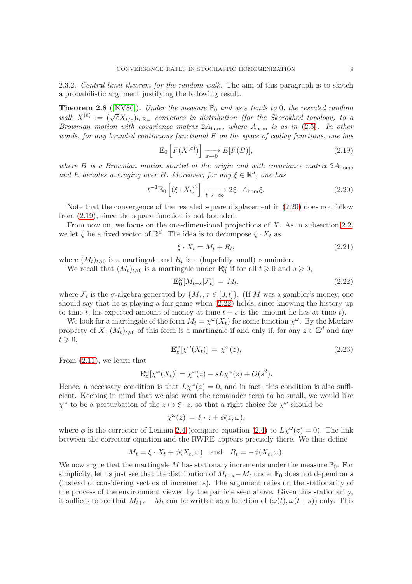<span id="page-8-4"></span>2.3.2. Central limit theorem for the random walk. The aim of this paragraph is to sketch a probabilistic argument justifying the following result.

<span id="page-8-3"></span>**Theorem 2.8** ([\[KV86\]](#page-42-10)). Under the measure  $\mathbb{P}_0$  and as  $\varepsilon$  tends to 0, the rescaled random walk  $X^{(\varepsilon)} := (\sqrt{\varepsilon}X_{t/\varepsilon})_{t\in\mathbb{R}_+}$  converges in distribution (for the Skorokhod topology) to a Brownian motion with covariance matrix  $2A_{\text{hom}}$ , where  $A_{\text{hom}}$  is as in [\(2.5\)](#page-2-7). In other words, for any bounded continuous functional  $F$  on the space of cadlag functions, one has

<span id="page-8-1"></span>
$$
\mathbb{E}_0\left[F(X^{(\varepsilon)})\right] \xrightarrow[\varepsilon \to 0]{} E[F(B)],\tag{2.19}
$$

where B is a Brownian motion started at the origin and with covariance matrix  $2A_{\text{hom}}$ , and E denotes averaging over B. Moreover, for any  $\xi \in \mathbb{R}^d$ , one has

<span id="page-8-0"></span>
$$
t^{-1}\mathbb{E}_0\left[\left(\xi \cdot X_t\right)^2\right] \xrightarrow[t \to +\infty]{} 2\xi \cdot A_{\text{hom}}\xi. \tag{2.20}
$$

Note that the convergence of the rescaled square displacement in [\(2.20\)](#page-8-0) does not follow from [\(2.19\)](#page-8-1), since the square function is not bounded.

From now on, we focus on the one-dimensional projections of  $X$ . As in subsection [2.2,](#page-2-5) we let  $\xi$  be a fixed vector of  $\mathbb{R}^d$ . The idea is to decompose  $\xi \cdot X_t$  as

$$
\xi \cdot X_t = M_t + R_t,\tag{2.21}
$$

where  $(M_t)_{t\geqslant0}$  is a martingale and  $R_t$  is a (hopefully small) remainder.

We recall that  $(M_t)_{t\geqslant0}$  is a martingale under  $\mathbf{E}^{\omega}_0$  if for all  $t\geqslant0$  and  $s\geqslant0$ ,

<span id="page-8-2"></span>
$$
\mathbf{E}_0^{\omega}[M_{t+s}|\mathcal{F}_t] = M_t, \tag{2.22}
$$

where  $\mathcal{F}_t$  is the  $\sigma$ -algebra generated by  $\{M_\tau, \tau \in [0, t]\}$ . (If M was a gambler's money, one should say that he is playing a fair game when [\(2.22\)](#page-8-2) holds, since knowing the history up to time t, his expected amount of money at time  $t + s$  is the amount he has at time t).

We look for a martingale of the form  $M_t = \chi^{\omega}(X_t)$  for some function  $\chi^{\omega}$ . By the Markov property of X,  $(M_t)_{t\geqslant0}$  of this form is a martingale if and only if, for any  $z\in\mathbb{Z}^d$  and any  $t \geqslant 0$ ,

$$
\mathbf{E}_z^{\omega}[\chi^{\omega}(X_t)] = \chi^{\omega}(z), \tag{2.23}
$$

From [\(2.11\)](#page-5-1), we learn that

$$
\mathbf{E}_z^{\omega}[\chi^{\omega}(X_t)] = \chi^{\omega}(z) - sL\chi^{\omega}(z) + O(s^2).
$$

Hence, a necessary condition is that  $L\chi^{\omega}(z) = 0$ , and in fact, this condition is also sufficient. Keeping in mind that we also want the remainder term to be small, we would like  $\chi^{\omega}$  to be a perturbation of the  $z \mapsto \xi \cdot z$ , so that a right choice for  $\chi^{\omega}$  should be

$$
\chi^{\omega}(z) = \xi \cdot z + \phi(z, \omega),
$$

where  $\phi$  is the corrector of Lemma [2.4](#page-2-3) (compare equation [\(2.4\)](#page-2-2) to  $L\chi^{\omega}(z) = 0$ ). The link between the corrector equation and the RWRE appears precisely there. We thus define

$$
M_t = \xi \cdot X_t + \phi(X_t, \omega)
$$
 and  $R_t = -\phi(X_t, \omega)$ .

We now argue that the martingale M has stationary increments under the measure  $\mathbb{P}_0$ . For simplicity, let us just see that the distribution of  $M_{t+s}-M_t$  under  $\mathbb{P}_0$  does not depend on s (instead of considering vectors of increments). The argument relies on the stationarity of the process of the environment viewed by the particle seen above. Given this stationarity, it suffices to see that  $M_{t+s} - M_t$  can be written as a function of  $(\omega(t), \omega(t+s))$  only. This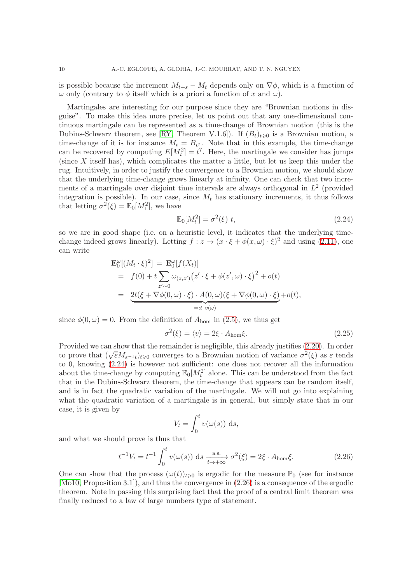is possible because the increment  $M_{t+s} - M_t$  depends only on  $\nabla \phi$ , which is a function of  $\omega$  only (contrary to  $\phi$  itself which is a priori a function of x and  $\omega$ ).

Martingales are interesting for our purpose since they are "Brownian motions in disguise". To make this idea more precise, let us point out that any one-dimensional continuous martingale can be represented as a time-change of Brownian motion (this is the Dubins-Schwarz theorem, see [\[RY,](#page-42-13) Theorem V.1.6]). If  $(B_t)_{t\geq0}$  is a Brownian motion, a time-change of it is for instance  $M_t = B_t$ . Note that in this example, the time-change can be recovered by computing  $E[M_t^2] = t^7$ . Here, the martingale we consider has jumps (since  $X$  itself has), which complicates the matter a little, but let us keep this under the rug. Intuitively, in order to justify the convergence to a Brownian motion, we should show that the underlying time-change grows linearly at infinity. One can check that two increments of a martingale over disjoint time intervals are always orthogonal in  $L^2$  (provided integration is possible). In our case, since  $M_t$  has stationary increments, it thus follows that letting  $\sigma^2(\xi) = \mathbb{E}_0[M_1^2]$ , we have

<span id="page-9-0"></span>
$$
\mathbb{E}_0[M_t^2] = \sigma^2(\xi) \ t,\tag{2.24}
$$

so we are in good shape (i.e. on a heuristic level, it indicates that the underlying timechange indeed grows linearly). Letting  $f : z \mapsto (x \cdot \xi + \phi(x, \omega) \cdot \xi)^2$  and using [\(2.11\)](#page-5-1), one can write

$$
\mathbf{E}_{0}^{\omega}[(M_{t} \cdot \xi)^{2}] = \mathbf{E}_{0}^{\omega}[f(X_{t})]
$$
\n
$$
= f(0) + t \sum_{z' \sim 0} \omega_{(z,z')}(z' \cdot \xi + \phi(z',\omega) \cdot \xi)^{2} + o(t)
$$
\n
$$
= \underbrace{2t(\xi + \nabla\phi(0,\omega) \cdot \xi) \cdot A(0,\omega)(\xi + \nabla\phi(0,\omega) \cdot \xi)}_{=:t v(\omega)} + o(t),
$$

since  $\phi(0,\omega) = 0$ . From the definition of  $A_{\text{hom}}$  in [\(2.5\)](#page-2-7), we thus get

<span id="page-9-2"></span>
$$
\sigma^2(\xi) = \langle v \rangle = 2\xi \cdot A_{\text{hom}}\xi. \tag{2.25}
$$

Provided we can show that the remainder is negligible, this already justifies [\(2.20\)](#page-8-0). In order to prove that  $(\sqrt{\varepsilon}M_{\varepsilon^{-1}t})_{t\geqslant0}$  converges to a Brownian motion of variance  $\sigma^2(\xi)$  as  $\varepsilon$  tends to 0, knowing [\(2.24\)](#page-9-0) is however not sufficient: one does not recover all the information about the time-change by computing  $\mathbb{E}_0[M_t^2]$  alone. This can be understood from the fact that in the Dubins-Schwarz theorem, the time-change that appears can be random itself, and is in fact the quadratic variation of the martingale. We will not go into explaining what the quadratic variation of a martingale is in general, but simply state that in our case, it is given by

$$
V_t = \int_0^t v(\omega(s)) \, \mathrm{d}s,
$$

and what we should prove is thus that

<span id="page-9-1"></span>
$$
t^{-1}V_t = t^{-1} \int_0^t v(\omega(s)) \, \mathrm{d}s \xrightarrow[t \to +\infty]{\text{a.s.}} \sigma^2(\xi) = 2\xi \cdot A_{\text{hom}}\xi. \tag{2.26}
$$

One can show that the process  $(\omega(t))_{t>0}$  is ergodic for the measure  $\mathbb{P}_0$  (see for instance [\[Mo10,](#page-42-12) Proposition 3.1]), and thus the convergence in [\(2.26\)](#page-9-1) is a consequence of the ergodic theorem. Note in passing this surprising fact that the proof of a central limit theorem was finally reduced to a law of large numbers type of statement.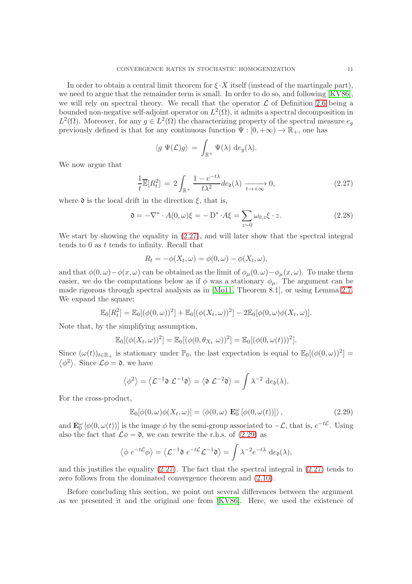In order to obtain a central limit theorem for  $\xi \cdot X$  itself (instead of the martingale part), we need to argue that the remainder term is small. In order to do so, and following [\[KV86\]](#page-42-10), we will rely on spectral theory. We recall that the operator  $\mathcal L$  of Definition [2.6](#page-3-4) being a bounded non-negative self-adjoint operator on  $L^2(\Omega)$ , it admits a spectral decomposition in  $L^2(\Omega)$ . Moreover, for any  $g \in L^2(\Omega)$  the characterizing property of the spectral measure  $e_g$ previously defined is that for any continuous function  $\Psi : [0, +\infty) \to \mathbb{R}_+$ , one has

$$
\langle g \Psi(\mathcal{L})g \rangle = \int_{\mathbb{R}^+} \Psi(\lambda) \, d e_g(\lambda).
$$

We now argue that

<span id="page-10-0"></span>
$$
\frac{1}{t}\overline{\mathbb{E}}[R_t^2] = 2\int_{\mathbb{R}^+} \frac{1 - e^{-t\lambda}}{t\lambda^2} de_0(\lambda) \xrightarrow[t \to +\infty]{} 0,
$$
\n(2.27)

where  $\mathfrak d$  is the local drift in the direction  $\xi$ , that is,

$$
\mathfrak{d} = -\nabla^* \cdot A(0, \omega)\xi = -D^* \cdot A\xi = \sum_{z \sim 0} \omega_{0, z}\xi \cdot z. \tag{2.28}
$$

We start by showing the equality in [\(2.27\)](#page-10-0), and will later show that the spectral integral tends to 0 as t tends to infinity. Recall that

$$
R_t = -\phi(X_t, \omega) = \phi(0, \omega) - \phi(X_t, \omega),
$$

and that  $\phi(0,\omega)-\phi(x,\omega)$  can be obtained as the limit of  $\phi_\mu(0,\omega)-\phi_\mu(x,\omega)$ . To make them easier, we do the computations below as if  $\phi$  was a stationary  $\phi_{\mu}$ . The argument can be made rigorous through spectral analysis as in [\[Mo11,](#page-42-2) Theorem 8.1], or using Lemma [2.7.](#page-3-3) We expand the square:

$$
\mathbb{E}_0[R_t^2] = \mathbb{E}_0[(\phi(0,\omega))^2] + \mathbb{E}_0[(\phi(X_t,\omega))^2] - 2\mathbb{E}_0[\phi(0,\omega)\phi(X_t,\omega)].
$$

Note that, by the simplifying assumption,

$$
\mathbb{E}_0[(\phi(X_t,\omega))^2] = \mathbb{E}_0[(\phi(0,\theta_{X_t} \omega))^2] = \mathbb{E}_0[(\phi(0,\omega(t)))^2].
$$

Since  $(\omega(t))_{t\in\mathbb{R}_+}$  is stationary under  $\mathbb{P}_0$ , the last expectation is equal to  $\mathbb{E}_0[(\phi(0,\omega))^2] =$  $\langle \phi^2 \rangle$ . Since  $\mathcal{L}\phi = \mathfrak{d}$ , we have

$$
\langle \phi^2 \rangle = \langle \mathcal{L}^{-1} \mathfrak{d} \ \mathcal{L}^{-1} \mathfrak{d} \rangle = \langle \mathfrak{d} \ \mathcal{L}^{-2} \mathfrak{d} \rangle = \int \lambda^{-2} \, \mathrm{d} e_{\mathfrak{d}}(\lambda).
$$

For the cross-product,

<span id="page-10-1"></span>
$$
\mathbb{E}_0[\phi(0,\omega)\phi(X_t,\omega)] = \langle \phi(0,\omega) \mathbf{E}_0^{\omega}[\phi(0,\omega(t))] \rangle, \qquad (2.29)
$$

and  $\mathbf{E}_0^{\omega} [\phi(0, \omega(t))]$  is the image  $\phi$  by the semi-group associated to  $-\mathcal{L}$ , that is,  $e^{-t\mathcal{L}}$ . Using also the fact that  $\mathcal{L}\phi = \mathfrak{d}$ , we can rewrite the r.h.s. of [\(2.29\)](#page-10-1) as

$$
\langle \phi \ e^{-t\mathcal{L}} \phi \rangle = \langle \mathcal{L}^{-1} \mathfrak{d} \ e^{-t\mathcal{L}} \mathcal{L}^{-1} \mathfrak{d} \rangle = \int \lambda^{-2} e^{-t\lambda} \ \mathrm{d}e_{\mathfrak{d}}(\lambda),
$$

and this justifies the equality  $(2.27)$ . The fact that the spectral integral in  $(2.27)$  tends to zero follows from the dominated convergence theorem and [\(2.10\)](#page-5-0).

Before concluding this section, we point out several differences between the argument as we presented it and the original one from [\[KV86\]](#page-42-10). Here, we used the existence of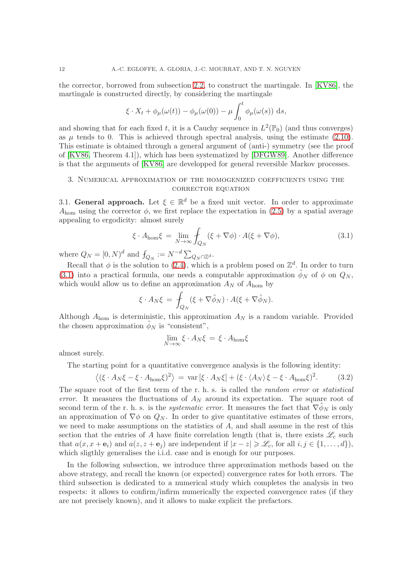the corrector, borrowed from subsection [2.2,](#page-2-5) to construct the martingale. In [\[KV86\]](#page-42-10), the martingale is constructed directly, by considering the martingale

$$
\xi \cdot X_t + \phi_\mu(\omega(t)) - \phi_\mu(\omega(0)) - \mu \int_0^t \phi_\mu(\omega(s)) \, ds,
$$

and showing that for each fixed t, it is a Cauchy sequence in  $L^2(\mathbb{P}_0)$  (and thus converges) as  $\mu$  tends to 0. This is achieved through spectral analysis, using the estimate [\(2.10\)](#page-5-0). This estimate is obtained through a general argument of (anti-) symmetry (see the proof of [\[KV86,](#page-42-10) Theorem 4.1]), which has been systematized by [\[DFGW89\]](#page-41-0). Another difference is that the arguments of [\[KV86\]](#page-42-10) are developped for general reversible Markov processes.

# 3. Numerical approximation of the homogenized coefficients using the CORRECTOR EQUATION

3.1. General approach. Let  $\xi \in \mathbb{R}^d$  be a fixed unit vector. In order to approximate  $A_{\text{hom}}$  using the corrector  $\phi$ , we first replace the expectation in [\(2.5\)](#page-2-7) by a spatial average appealing to ergodicity: almost surely

<span id="page-11-0"></span>
$$
\xi \cdot A_{\text{hom}} \xi = \lim_{N \to \infty} \oint_{Q_N} (\xi + \nabla \phi) \cdot A(\xi + \nabla \phi), \tag{3.1}
$$

where  $Q_N = [0, N)^d$  and  $f_{Q_N} := N^{-d} \sum_{Q_N \cap \mathbb{Z}^d}$ .

Recall that  $\phi$  is the solution to [\(2.4\)](#page-2-2), which is a problem posed on  $\mathbb{Z}^d$ . In order to turn [\(3.1\)](#page-11-0) into a practical formula, one needs a computable approximation  $\phi_N$  of  $\phi$  on  $Q_N$ , which would allow us to define an approximation  $A_N$  of  $A_{\text{hom}}$  by

$$
\xi \cdot A_N \xi = \int_{Q_N} (\xi + \nabla \tilde{\phi}_N) \cdot A(\xi + \nabla \tilde{\phi}_N).
$$

Although  $A_{\text{hom}}$  is deterministic, this approximation  $A_N$  is a random variable. Provided the chosen approximation  $\phi_N$  is "consistent",

$$
\lim_{N \to \infty} \xi \cdot A_N \xi = \xi \cdot A_{\text{hom}} \xi
$$

almost surely.

The starting point for a quantitative convergence analysis is the following identity:

<span id="page-11-1"></span>
$$
\langle (\xi \cdot A_N \xi - \xi \cdot A_{\text{hom}} \xi)^2 \rangle = \text{var} \left[ \xi \cdot A_N \xi \right] + (\xi \cdot \langle A_N \rangle \xi - \xi \cdot A_{\text{hom}} \xi)^2. \tag{3.2}
$$

The square root of the first term of the r. h. s. is called the *random error* or *statistical* error. It measures the fluctuations of  $A_N$  around its expectation. The square root of second term of the r. h. s. is the *systematic error*. It measures the fact that  $\nabla \phi_N$  is only an approximation of  $\nabla \phi$  on  $Q_N$ . In order to give quantitative estimates of these errors, we need to make assumptions on the statistics of  $A$ , and shall assume in the rest of this section that the entries of A have finite correlation length (that is, there exists  $\mathscr{L}_c$  such that  $a(x, x + e_i)$  and  $a(z, z + e_j)$  are independent if  $|x - z| \geq \mathscr{L}_c$ , for all  $i, j \in \{1, ..., d\}$ , which sligthly generalises the i.i.d. case and is enough for our purposes.

In the following subsection, we introduce three approximation methods based on the above strategy, and recall the known (or expected) convergence rates for both errors. The third subsection is dedicated to a numerical study which completes the analysis in two respects: it allows to confirm/infirm numerically the expected convergence rates (if they are not precisely known), and it allows to make explicit the prefactors.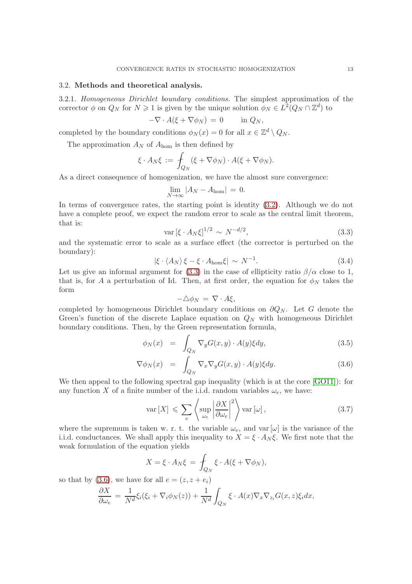### 3.2. Methods and theoretical analysis.

3.2.1. Homogeneous Dirichlet boundary conditions. The simplest approximation of the corrector  $\phi$  on  $Q_N$  for  $N \geq 1$  is given by the unique solution  $\phi_N \in L^2(Q_N \cap \mathbb{Z}^d)$  to

$$
-\nabla \cdot A(\xi + \nabla \phi_N) = 0 \quad \text{in } Q_N,
$$

completed by the boundary conditions  $\phi_N(x) = 0$  for all  $x \in \mathbb{Z}^d \setminus Q_N$ .

The approximation  $A_N$  of  $A_{\text{hom}}$  is then defined by

$$
\xi \cdot A_N \xi := \int_{Q_N} (\xi + \nabla \phi_N) \cdot A(\xi + \nabla \phi_N).
$$

As a direct consequence of homogenization, we have the almost sure convergence:

$$
\lim_{N \to \infty} |A_N - A_{\text{hom}}| = 0.
$$

In terms of convergence rates, the starting point is identity [\(3.2\)](#page-11-1). Although we do not have a complete proof, we expect the random error to scale as the central limit theorem, that is:

<span id="page-12-0"></span>
$$
\text{var}\left[\xi \cdot A_N \xi\right]^{1/2} \sim N^{-d/2},\tag{3.3}
$$

and the systematic error to scale as a surface effect (the corrector is perturbed on the boundary):

<span id="page-12-2"></span>
$$
|\xi \cdot \langle A_N \rangle \xi - \xi \cdot A_{\text{hom}} \xi| \sim N^{-1}.
$$
 (3.4)

Let us give an informal argument for [\(3.3\)](#page-12-0) in the case of ellipticity ratio  $\beta/\alpha$  close to 1, that is, for A a perturbation of Id. Then, at first order, the equation for  $\phi_N$  takes the form

$$
-\triangle \phi_N \,=\, \nabla \cdot A \xi,
$$

completed by homogeneous Dirichlet boundary conditions on  $\partial Q_N$ . Let G denote the Green's function of the discrete Laplace equation on  $Q_N$  with homogeneous Dirichlet boundary conditions. Then, by the Green representation formula,

<span id="page-12-1"></span>
$$
\phi_N(x) = \int_{Q_N} \nabla_y G(x, y) \cdot A(y) \xi dy, \qquad (3.5)
$$

$$
\nabla \phi_N(x) = \int_{Q_N} \nabla_x \nabla_y G(x, y) \cdot A(y) \xi dy.
$$
 (3.6)

We then appeal to the following spectral gap inequality (which is at the core [\[GO11\]](#page-42-0)): for any function X of a finite number of the i.i.d. random variables  $\omega_e$ , we have:

<span id="page-12-3"></span>
$$
\text{var}\left[X\right] \leqslant \sum_{e} \left\langle \sup_{\omega_e} \left| \frac{\partial X}{\partial \omega_e} \right|^2 \right\rangle \text{var}\left[\omega\right],\tag{3.7}
$$

where the supremum is taken w. r. t. the variable  $\omega_e$ , and var  $[\omega]$  is the variance of the i.i.d. conductances. We shall apply this inequality to  $X = \xi \cdot A_N \xi$ . We first note that the weak formulation of the equation yields

$$
X = \xi \cdot A_N \xi = \int_{Q_N} \xi \cdot A(\xi + \nabla \phi_N),
$$

so that by [\(3.6\)](#page-12-1), we have for all  $e = (z, z + e_i)$ 

$$
\frac{\partial X}{\partial \omega_e} = \frac{1}{N^d} \xi_i(\xi_i + \nabla_i \phi_N(z)) + \frac{1}{N^d} \int_{Q_N} \xi \cdot A(x) \nabla_x \nabla_{z_i} G(x, z) \xi_i dx,
$$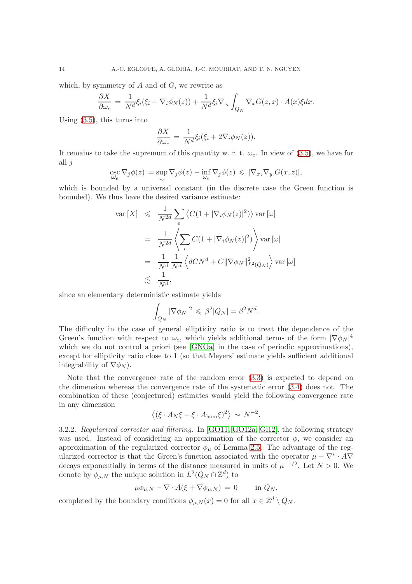which, by symmetry of  $A$  and of  $G$ , we rewrite as

$$
\frac{\partial X}{\partial \omega_e} = \frac{1}{N^d} \xi_i (\xi_i + \nabla_i \phi_N(z)) + \frac{1}{N^d} \xi_i \nabla_{z_i} \int_{Q_N} \nabla_x G(z, x) \cdot A(x) \xi dx.
$$

Using [\(3.5\)](#page-12-1), this turns into

$$
\frac{\partial X}{\partial \omega_e} = \frac{1}{N^d} \xi_i (\xi_i + 2\nabla_i \phi_N(z)).
$$

It remains to take the supremum of this quantity w. r. t.  $\omega_e$ . In view of [\(3.5\)](#page-12-1), we have for all  $j$ 

$$
\underset{\omega_e}{\mathrm{osc}} \nabla_j \phi(z) = \underset{\omega_e}{\mathrm{sup}} \nabla_j \phi(z) - \underset{\omega_e}{\mathrm{inf}} \nabla_j \phi(z) \leqslant |\nabla_{x_j} \nabla_{y_i} G(x, z)|,
$$

which is bounded by a universal constant (in the discrete case the Green function is bounded). We thus have the desired variance estimate:

$$
\begin{aligned}\n\text{var}\left[X\right] &\leqslant \frac{1}{N^{2d}} \sum_{e} \left\langle C(1 + |\nabla_i \phi_N(z)|^2) \right\rangle \text{var}\left[\omega\right] \\
&= \frac{1}{N^{2d}} \left\langle \sum_{e} C(1 + |\nabla_i \phi_N(z)|^2) \right\rangle \text{var}\left[\omega\right] \\
&= \frac{1}{N^d} \frac{1}{N^d} \left\langle dCN^d + C \|\nabla \phi_N\|_{L^2(Q_N)}^2 \right\rangle \text{var}\left[\omega\right] \\
&\lesssim \frac{1}{N^d},\n\end{aligned}
$$

since an elementary deterministic estimate yields

$$
\int_{Q_N} |\nabla \phi_N|^2 \leqslant \beta^2 |Q_N| = \beta^2 N^d.
$$

The difficulty in the case of general ellipticity ratio is to treat the dependence of the Green's function with respect to  $\omega_e$ , which yields additional terms of the form  $|\nabla \phi_N|^4$ which we do not control a priori (see [\[GNOa\]](#page-42-3) in the case of periodic approximations), except for ellipticity ratio close to 1 (so that Meyers' estimate yields sufficient additional integrability of  $\nabla \phi_N$ ).

Note that the convergence rate of the random error [\(3.3\)](#page-12-0) is expected to depend on the dimension whereas the convergence rate of the systematic error [\(3.4\)](#page-12-2) does not. The combination of these (conjectured) estimates would yield the following convergence rate in any dimension

$$
\langle (\xi \cdot A_N \xi - \xi \cdot A_{\text{hom}} \xi)^2 \rangle \sim N^{-2}.
$$

3.2.2. Regularized corrector and filtering. In [\[GO11,](#page-42-0) [GO12a,](#page-42-1) [Gl12\]](#page-42-4), the following strategy was used. Instead of considering an approximation of the corrector  $\phi$ , we consider an approximation of the regularized corrector  $\phi_{\mu}$  of Lemma [2.5.](#page-3-1) The advantage of the regularized corrector is that the Green's function associated with the operator  $\mu - \nabla^* \cdot A \nabla$ decays exponentially in terms of the distance measured in units of  $\mu^{-1/2}$ . Let  $N > 0$ . We denote by  $\phi_{\mu,N}$  the unique solution in  $L^2(Q_N \cap \mathbb{Z}^d)$  to

$$
\mu \phi_{\mu,N} - \nabla \cdot A(\xi + \nabla \phi_{\mu,N}) = 0 \quad \text{in } Q_N,
$$

completed by the boundary conditions  $\phi_{\mu,N}(x) = 0$  for all  $x \in \mathbb{Z}^d \setminus Q_N$ .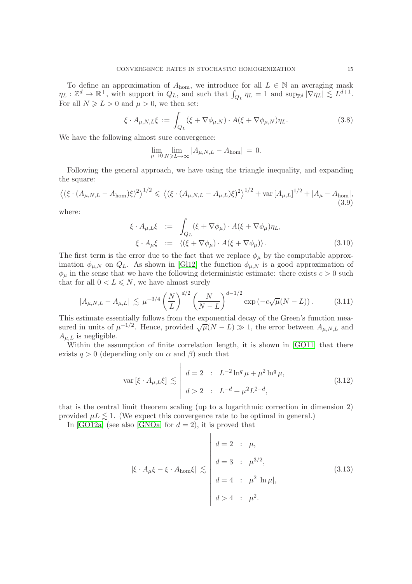To define an approximation of  $A_{\text{hom}}$ , we introduce for all  $L \in \mathbb{N}$  an averaging mask  $\eta_L : \mathbb{Z}^d \to \mathbb{R}^+$ , with support in  $Q_L$ , and such that  $\int_{Q_L} \eta_L = 1$  and  $\sup_{\mathbb{Z}^d} |\nabla \eta_L| \lesssim L^{d+1}$ . For all  $N \ge L > 0$  and  $\mu > 0$ , we then set:

$$
\xi \cdot A_{\mu,N,L}\xi := \int_{Q_L} (\xi + \nabla \phi_{\mu,N}) \cdot A(\xi + \nabla \phi_{\mu,N}) \eta_L.
$$
 (3.8)

We have the following almost sure convergence:

$$
\lim_{\mu \to 0} \lim_{N \geq L \to \infty} |A_{\mu,N,L} - A_{\text{hom}}| = 0.
$$

Following the general approach, we have using the triangle inequality, and expanding the square:

$$
\left\langle \left( \xi \cdot (A_{\mu,N,L} - A_{\text{hom}}) \xi \right)^2 \right\rangle^{1/2} \leq \left\langle \left( \xi \cdot (A_{\mu,N,L} - A_{\mu,L}) \xi \right)^2 \right\rangle^{1/2} + \text{var} \left[ A_{\mu,L} \right]^{1/2} + |A_{\mu} - A_{\text{hom}}|, \tag{3.9}
$$

where:

<span id="page-14-3"></span>
$$
\xi \cdot A_{\mu,L}\xi \quad := \quad \int_{Q_L} (\xi + \nabla \phi_\mu) \cdot A(\xi + \nabla \phi_\mu) \eta_L,
$$
\n
$$
\xi \cdot A_\mu \xi \quad := \quad \langle (\xi + \nabla \phi_\mu) \cdot A(\xi + \nabla \phi_\mu) \rangle. \tag{3.10}
$$

The first term is the error due to the fact that we replace  $\phi_{\mu}$  by the computable approximation  $\phi_{\mu,N}$  on  $Q_L$ . As shown in [\[Gl12\]](#page-42-4) the function  $\phi_{\mu,N}$  is a good approximation of  $\phi_{\mu}$  in the sense that we have the following deterministic estimate: there exists  $c > 0$  such that for all  $0 < L \leq N$ , we have almost surely

<span id="page-14-1"></span>
$$
|A_{\mu,N,L} - A_{\mu,L}| \lesssim \mu^{-3/4} \left(\frac{N}{L}\right)^{d/2} \left(\frac{N}{N-L}\right)^{d-1/2} \exp\left(-c\sqrt{\mu}(N-L)\right). \tag{3.11}
$$

This estimate essentially follows from the exponential decay of the Green's function measured in units of  $\mu^{-1/2}$ . Hence, provided  $\sqrt{\mu}(N-L) \gg 1$ , the error between  $A_{\mu,N,L}$  and  $A_{\mu,L}$  is negligible.

Within the assumption of finite correlation length, it is shown in [\[GO11\]](#page-42-0) that there exists  $q > 0$  (depending only on  $\alpha$  and  $\beta$ ) such that

<span id="page-14-2"></span>
$$
\text{var}\left[\xi \cdot A_{\mu,L}\xi\right] \lesssim \left| \begin{array}{ll} d=2 & : & L^{-2}\ln^q \mu + \mu^2 \ln^q \mu, \\ d > 2 & : & L^{-d} + \mu^2 L^{2-d}, \end{array} \right| \tag{3.12}
$$

that is the central limit theorem scaling (up to a logarithmic correction in dimension 2) provided  $\mu L \leq 1$ . (We expect this convergence rate to be optimal in general.)

 $\overline{1}$ 

In [\[GO12a\]](#page-42-1) (see also [\[GNOa\]](#page-42-3) for  $d = 2$ ), it is proved that

<span id="page-14-0"></span>
$$
|\xi \cdot A_{\mu} \xi - \xi \cdot A_{\text{hom}} \xi| \lesssim \begin{vmatrix} d = 2 & \vdots & \mu, \\ d = 3 & \vdots & \mu^{3/2}, \\ d = 4 & \vdots & \mu^{2} |\ln \mu|, \\ d > 4 & \vdots & \mu^{2}. \end{vmatrix}
$$
 (3.13)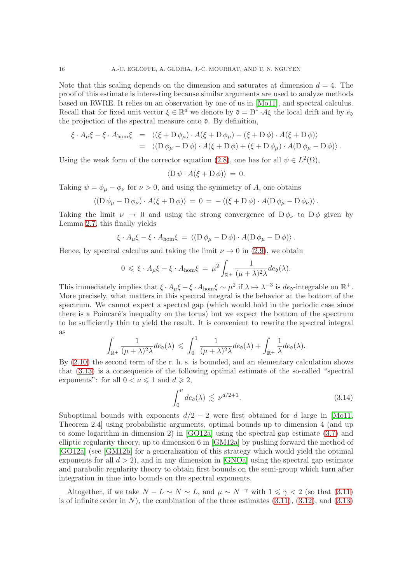Note that this scaling depends on the dimension and saturates at dimension  $d = 4$ . The proof of this estimate is interesting because similar arguments are used to analyze methods based on RWRE. It relies on an observation by one of us in [\[Mo11\]](#page-42-2), and spectral calculus. Recall that for fixed unit vector  $\xi \in \mathbb{R}^d$  we denote by  $\mathfrak{d} = D^* \cdot A \xi$  the local drift and by  $e_{\mathfrak{d}}$ the projection of the spectral measure onto  $\mathfrak{d}$ . By definition,

$$
\xi \cdot A_{\mu} \xi - \xi \cdot A_{\text{hom}} \xi = \langle (\xi + D \phi_{\mu}) \cdot A(\xi + D \phi_{\mu}) - (\xi + D \phi) \cdot A(\xi + D \phi) \rangle
$$
  
= 
$$
\langle (D \phi_{\mu} - D \phi) \cdot A(\xi + D \phi) + (\xi + D \phi_{\mu}) \cdot A(D \phi_{\mu} - D \phi) \rangle.
$$

Using the weak form of the corrector equation [\(2.8\)](#page-4-0), one has for all  $\psi \in L^2(\Omega)$ ,

$$
\langle \mathcal{D}\,\psi\cdot A(\xi+\mathcal{D}\,\phi)\rangle\,=\,0.
$$

Taking  $\psi = \phi_{\mu} - \phi_{\nu}$  for  $\nu > 0$ , and using the symmetry of A, one obtains

$$
\langle (\mathcal{D} \phi_{\mu} - \mathcal{D} \phi_{\nu}) \cdot A(\xi + \mathcal{D} \phi) \rangle = 0 = - \langle (\xi + \mathcal{D} \phi) \cdot A(\mathcal{D} \phi_{\mu} - \mathcal{D} \phi_{\nu}) \rangle.
$$

Taking the limit  $\nu \to 0$  and using the strong convergence of  $D\phi_{\nu}$  to  $D\phi$  given by Lemma [2.7,](#page-3-3) this finally yields

$$
\xi \cdot A_{\mu} \xi - \xi \cdot A_{\text{hom}} \xi = \langle (D \phi_{\mu} - D \phi) \cdot A(D \phi_{\mu} - D \phi) \rangle.
$$

Hence, by spectral calculus and taking the limit  $\nu \rightarrow 0$  in [\(2.9\)](#page-4-1), we obtain

$$
0 \leq \xi \cdot A_{\mu} \xi - \xi \cdot A_{\text{hom}} \xi = \mu^2 \int_{\mathbb{R}^+} \frac{1}{(\mu + \lambda)^2 \lambda} de_{\mathfrak{d}}(\lambda).
$$

This immediately implies that  $\xi \cdot A_\mu \xi - \xi \cdot A_{\text{hom}} \xi \sim \mu^2$  if  $\lambda \mapsto \lambda^{-3}$  is  $de_0$ -integrable on  $\mathbb{R}^+$ . More precisely, what matters in this spectral integral is the behavior at the bottom of the spectrum. We cannot expect a spectral gap (which would hold in the periodic case since there is a Poincaré's inequality on the torus) but we expect the bottom of the spectrum to be sufficiently thin to yield the result. It is convenient to rewrite the spectral integral as

$$
\int_{\mathbb{R}^+} \frac{1}{(\mu + \lambda)^2 \lambda} de_{\mathfrak{d}}(\lambda) \leq \int_0^1 \frac{1}{(\mu + \lambda)^2 \lambda} de_{\mathfrak{d}}(\lambda) + \int_{\mathbb{R}^+} \frac{1}{\lambda} de_{\mathfrak{d}}(\lambda).
$$

By [\(2.10\)](#page-5-0) the second term of the r. h. s. is bounded, and an elementary calculation shows that [\(3.13\)](#page-14-0) is a consequence of the following optimal estimate of the so-called "spectral exponents": for all  $0 < \nu \leq 1$  and  $d \geq 2$ ,

<span id="page-15-0"></span>
$$
\int_0^{\nu} de_{\mathfrak{d}}(\lambda) \lesssim \nu^{d/2+1}.
$$
 (3.14)

Suboptimal bounds with exponents  $d/2 - 2$  were first obtained for d large in [\[Mo11,](#page-42-2) Theorem 2.4] using probabilistic arguments, optimal bounds up to dimension 4 (and up to some logarithm in dimension 2) in [\[GO12a\]](#page-42-1) using the spectral gap estimate [\(3.7\)](#page-12-3) and elliptic regularity theory, up to dimension 6 in [\[GM12a\]](#page-42-5) by pushing forward the method of [\[GO12a\]](#page-42-1) (see [\[GM12b\]](#page-42-6) for a generalization of this strategy which would yield the optimal exponents for all  $d > 2$ , and in any dimension in [\[GNOa\]](#page-42-3) using the spectral gap estimate and parabolic regularity theory to obtain first bounds on the semi-group which turn after integration in time into bounds on the spectral exponents.

Altogether, if we take  $N - L \sim N \sim L$ , and  $\mu \sim N^{-\gamma}$  with  $1 \leq \gamma < 2$  (so that [\(3.11\)](#page-14-1) is of infinite order in  $N$ ), the combination of the three estimates  $(3.11)$ ,  $(3.12)$ , and  $(3.13)$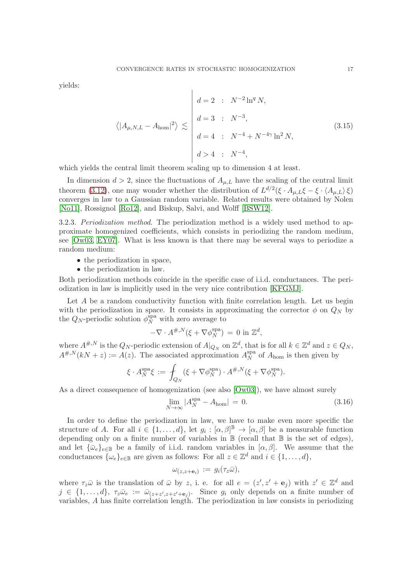yields:

$$
\langle |A_{\mu,N,L} - A_{\text{hom}}|^2 \rangle \lesssim \begin{vmatrix} d = 2 & : & N^{-2} \ln^q N, \\ d = 3 & : & N^{-3}, \\ d = 4 & : & N^{-4} + N^{-4\gamma} \ln^2 N, \\ d > 4 & : & N^{-4}, \end{vmatrix}
$$
 (3.15)

which yields the central limit theorem scaling up to dimension 4 at least.

In dimension  $d > 2$ , since the fluctuations of  $A_{\mu,L}$  have the scaling of the central limit theorem [\(3.12\)](#page-14-2), one may wonder whether the distribution of  $L^{d/2}(\xi \cdot A_{\mu,L}\xi - \xi \cdot \langle A_{\mu,L}\rangle \xi)$ converges in law to a Gaussian random variable. Related results were obtained by Nolen [\[No11\]](#page-42-14), Rossignol [\[Ro12\]](#page-43-0), and Biskup, Salvi, and Wolff [\[BSW12\]](#page-41-1).

<span id="page-16-1"></span>3.2.3. Periodization method. The periodization method is a widely used method to approximate homogenized coefficients, which consists in periodizing the random medium, see [\[Ow03,](#page-42-15) [EY07\]](#page-42-16). What is less known is that there may be several ways to periodize a random medium:

- the periodization in space,
- the periodization in law.

Both periodization methods coincide in the specific case of i.i.d. conductances. The periodization in law is implicitly used in the very nice contribution [\[KFGMJ\]](#page-42-17).

Let A be a random conductivity function with finite correlation length. Let us begin with the periodization in space. It consists in approximating the corrector  $\phi$  on  $Q_N$  by the  $Q_N$ -periodic solution  $\phi_N^{\text{spa}}$  with zero average to

$$
-\nabla \cdot A^{\#,N}(\xi + \nabla \phi_N^{\text{spa}}) = 0 \text{ in } \mathbb{Z}^d,
$$

where  $A^{\#,N}$  is the  $Q_N$ -periodic extension of  $A|_{Q_N}$  on  $\mathbb{Z}^d$ , that is for all  $k \in \mathbb{Z}^d$  and  $z \in Q_N$ ,  $A^{\#,N}(kN+z) := A(z)$ . The associated approximation  $A_N^{\text{spa}}$  $_N^{\text{spa}}$  of  $A_{\text{hom}}$  is then given by

$$
\xi \cdot A_N^{\rm spa} \xi \, := \, \int_{Q_N} (\xi + \nabla \phi_N^{\rm spa}) \cdot A^{\#,N} (\xi + \nabla \phi_N^{\rm spa}).
$$

As a direct consequence of homogenization (see also [\[Ow03\]](#page-42-15)), we have almost surely

<span id="page-16-0"></span>
$$
\lim_{N \to \infty} |A_N^{\text{spa}} - A_{\text{hom}}| = 0. \tag{3.16}
$$

In order to define the periodization in law, we have to make even more specific the structure of A. For all  $i \in \{1, ..., d\}$ , let  $g_i : [\alpha, \beta]^{\mathbb{B}} \to [\alpha, \beta]$  be a measurable function depending only on a finite number of variables in  $\mathbb B$  (recall that  $\mathbb B$  is the set of edges), and let  $\{\bar{\omega}_e\}_{e\in\mathbb{B}}$  be a family of i.i.d. random variables in  $[\alpha, \beta]$ . We assume that the conductances  $\{\omega_e\}_{e \in \mathbb{B}}$  are given as follows: For all  $z \in \mathbb{Z}^d$  and  $i \in \{1, ..., d\}$ ,

$$
\omega_{(z,z+\mathbf{e}_i)} := g_i(\tau_z\bar{\omega}),
$$

where  $\tau_z\bar{\omega}$  is the translation of  $\bar{\omega}$  by z, i. e. for all  $e = (z', z' + e_j)$  with  $z' \in \mathbb{Z}^d$  and  $j \in \{1, \ldots, d\}, \tau_z \bar{\omega}_e := \bar{\omega}_{(z+z',z+z'+e_j)}$ . Since  $g_i$  only depends on a finite number of variables, A has finite correlation length. The periodization in law consists in periodizing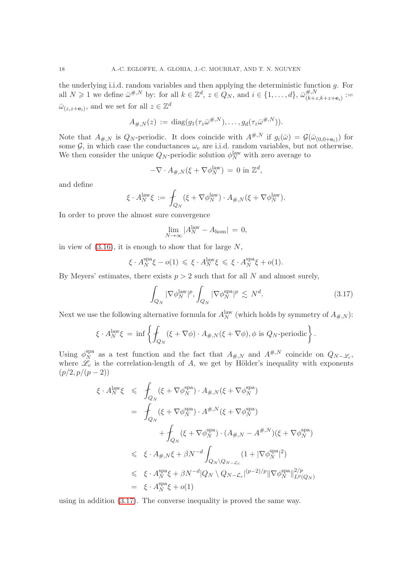the underlying i.i.d. random variables and then applying the deterministic function g. For all  $N \geq 1$  we define  $\bar{\omega}^{\#,N}$  by: for all  $k \in \mathbb{Z}^d$ ,  $z \in Q_N$ , and  $i \in \{1,\ldots,d\}$ ,  $\bar{\omega}_{(k+z,k+z+\mathbf{e}_i)}^{\#,N} :=$  $\bar{\omega}_{(z,z+\mathbf{e}_i)}$ , and we set for all  $z \in \mathbb{Z}^d$ 

$$
A_{\#,N}(z) := \mathrm{diag}(g_1(\tau_z \bar{\omega}^{\#,N}), \ldots, g_d(\tau_z \bar{\omega}^{\#,N})).
$$

Note that  $A_{\#,N}$  is  $Q_N$ -periodic. It does coincide with  $A^{\#,N}$  if  $g_i(\bar{\omega}) = \mathcal{G}(\bar{\omega}_{(0,0+\mathbf{e}_i)})$  for some  $\mathcal{G}$ , in which case the conductances  $\omega_e$  are i.i.d. random variables, but not otherwise. We then consider the unique  $Q_N$ -periodic solution  $\phi_N^{\text{law}}$  with zero average to

$$
-\nabla \cdot A_{\#,N}(\xi + \nabla \phi_N^{\text{law}}) = 0 \text{ in } \mathbb{Z}^d,
$$

and define

$$
\xi \cdot A_N^{\text{law}} \xi := \int_{Q_N} (\xi + \nabla \phi_N^{\text{law}}) \cdot A_{\#,N} (\xi + \nabla \phi_N^{\text{law}}).
$$

In order to prove the almost sure convergence

$$
\lim_{N \to \infty} |A_N^{\text{law}} - A_{\text{hom}}| = 0,
$$

in view of  $(3.16)$ , it is enough to show that for large N,

$$
\xi \cdot A_N^{\rm spa} \xi - o(1) \leq \xi \cdot A_N^{\rm law} \xi \leq \xi \cdot A_N^{\rm spa} \xi + o(1).
$$

By Meyers' estimates, there exists  $p > 2$  such that for all N and almost surely,

<span id="page-17-0"></span>
$$
\int_{Q_N} |\nabla \phi_N^{\text{law}}|^p, \int_{Q_N} |\nabla \phi_N^{\text{spa}}|^p \lesssim N^d. \tag{3.17}
$$

Next we use the following alternative formula for  $A_N^{\text{law}}$  (which holds by symmetry of  $A_{\#,N}$ ):

$$
\xi \cdot A_N^{\text{law}} \xi = \inf \left\{ \oint_{Q_N} (\xi + \nabla \phi) \cdot A_{\#,N} (\xi + \nabla \phi), \phi \text{ is } Q_N \text{-periodic} \right\}.
$$

Using  $\phi_N^{\text{spa}}$ <sup>spa</sup> as a test function and the fact that  $A_{\#,N}$  and  $A^{\#,N}$  coincide on  $Q_{N-\mathscr{L}_c}$ , where  $\mathcal{L}_c$  is the correlation-length of A, we get by Hölder's inequality with exponents  $(p/2, p/(p-2))$ 

$$
\xi \cdot A_N^{\text{law}} \xi \leq \int_{Q_N} (\xi + \nabla \phi_N^{\text{spa}}) \cdot A_{\#,N} (\xi + \nabla \phi_N^{\text{spa}})
$$
\n
$$
= \int_{Q_N} (\xi + \nabla \phi_N^{\text{spa}}) \cdot A^{\#,N} (\xi + \nabla \phi_N^{\text{spa}})
$$
\n
$$
+ \int_{Q_N} (\xi + \nabla \phi_N^{\text{spa}}) \cdot (A_{\#,N} - A^{\#,N}) (\xi + \nabla \phi_N^{\text{spa}})
$$
\n
$$
\leq \xi \cdot A_{\#,N} \xi + \beta N^{-d} \int_{Q_N \setminus Q_{N-L_c}} (1 + |\nabla \phi_N^{\text{spa}}|^2)
$$
\n
$$
\leq \xi \cdot A_N^{\text{spa}} \xi + \beta N^{-d} |Q_N \setminus Q_{N-L_c}|^{(p-2)/p} ||\nabla \phi_N^{\text{spa}}||_{L^p(Q_N)}^{2/p}
$$
\n
$$
= \xi \cdot A_N^{\text{spa}} \xi + o(1)
$$

using in addition [\(3.17\)](#page-17-0). The converse inequality is proved the same way.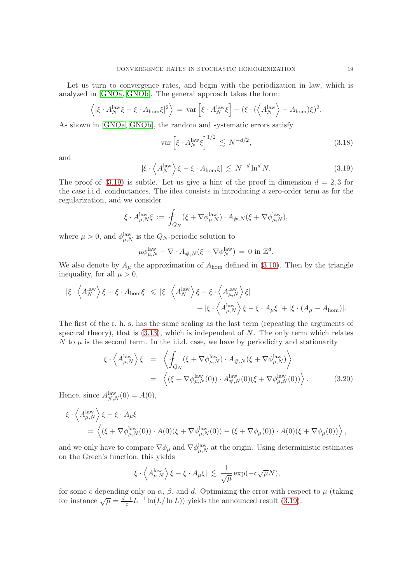Let us turn to convergence rates, and begin with the periodization in law, which is analyzed in [\[GNOa,](#page-42-3) [GNOb\]](#page-42-7). The general approach takes the form:

$$
\langle |\xi \cdot A_N^{\text{law}} \xi - \xi \cdot A_{\text{hom}} \xi|^2 \rangle = \text{var} \left[ \xi \cdot A_N^{\text{law}} \xi \right] + (\xi \cdot (\langle A_N^{\text{law}} \rangle - A_{\text{hom}}) \xi)^2.
$$

As shown in [\[GNOa,](#page-42-3) [GNOb\]](#page-42-7), the random and systematic errors satisfy

<span id="page-18-2"></span>
$$
\text{var}\left[\xi \cdot A_N^{\text{law}} \xi\right]^{1/2} \lesssim N^{-d/2},\tag{3.18}
$$

and

<span id="page-18-0"></span>
$$
|\xi \cdot \left\langle A_N^{\text{law}} \right\rangle \xi - \xi \cdot A_{\text{hom}} \xi| \lesssim N^{-d} \ln^d N. \tag{3.19}
$$

The proof of  $(3.19)$  is subtle. Let us give a hint of the proof in dimension  $d = 2, 3$  for the case i.i.d. conductances. The idea consists in introducing a zero-order term as for the regularization, and we consider

$$
\xi \cdot A_{\mu,N}^{\text{law}} \xi := \int_{Q_N} (\xi + \nabla \phi_{\mu,N}^{\text{law}}) \cdot A_{\#,N} (\xi + \nabla \phi_{\mu,N}^{\text{law}}),
$$

where  $\mu > 0$ , and  $\phi_{\mu,N}^{\text{law}}$  is the  $Q_N$ -periodic solution to

$$
\mu \phi_{\mu,N}^{\text{law}} - \nabla \cdot A_{\#,N}(\xi + \nabla \phi_N^{\text{law}}) = 0 \text{ in } \mathbb{Z}^d.
$$

We also denote by  $A_{\mu}$  the approximation of  $A_{\text{hom}}$  defined in [\(3.10\)](#page-14-3). Then by the triangle inequality, for all  $\mu > 0$ ,

$$
\begin{aligned} |\xi \cdot \left\langle A_N^{\text{law}} \right\rangle \xi - \xi \cdot A_{\text{hom}} \xi| &\leqslant |\xi \cdot \left\langle A_N^{\text{law}} \right\rangle \xi - \xi \cdot \left\langle A_{\mu, N}^{\text{law}} \right\rangle \xi| \\ &\quad + |\xi \cdot \left\langle A_{\mu, N}^{\text{law}} \right\rangle \xi - \xi \cdot A_{\mu} \xi| + |\xi \cdot (A_{\mu} - A_{\text{hom}})|. \end{aligned}
$$

The first of the r. h. s. has the same scaling as the last term (repeating the arguments of spectral theory), that is  $(3.13)$ , which is independent of N. The only term which relates N to  $\mu$  is the second term. In the i.i.d. case, we have by periodicity and stationarity

<span id="page-18-1"></span>
$$
\xi \cdot \left\langle A_{\mu,N}^{\text{law}} \right\rangle \xi = \left\langle \int_{Q_N} (\xi + \nabla \phi_{\mu,N}^{\text{law}}) \cdot A_{\#,N} (\xi + \nabla \phi_{\mu,N}^{\text{law}}) \right\rangle
$$
  
=  $\left\langle (\xi + \nabla \phi_{\mu,N}^{\text{law}}(0)) \cdot A_{\#,N}^{\text{law}}(0) (\xi + \nabla \phi_{\mu,N}^{\text{law}}(0)) \right\rangle.$  (3.20)

Hence, since  $A_{\#,N}^{\text{law}}(0) = A(0),$ 

$$
\xi \cdot \left\langle A_{\mu,N}^{\text{law}} \right\rangle \xi - \xi \cdot A_{\mu} \xi
$$
  
=  $\left\langle (\xi + \nabla \phi_{\mu,N}^{\text{law}}(0)) \cdot A(0) (\xi + \nabla \phi_{\mu,N}^{\text{law}}(0)) - (\xi + \nabla \phi_{\mu}(0)) \cdot A(0) (\xi + \nabla \phi_{\mu}(0)) \right\rangle$ ,

and we only have to compare  $\nabla \phi_\mu$  and  $\nabla \phi_{\mu,N}^{\text{law}}$  at the origin. Using deterministic estimates on the Green's function, this yields

$$
|\xi \cdot \langle A_{\mu,N}^{\text{law}} \rangle \xi - \xi \cdot A_{\mu} \xi| \lesssim \frac{1}{\sqrt{\mu}} \exp(-c\sqrt{\mu}N),
$$

for some c depending only on  $\alpha$ ,  $\beta$ , and d. Optimizing the error with respect to  $\mu$  (taking for instance  $\sqrt{\mu} = \frac{d+1}{c}$  $\frac{+1}{c}L^{-1}\ln(L/\ln L)$  yields the announced result [\(3.19\)](#page-18-0).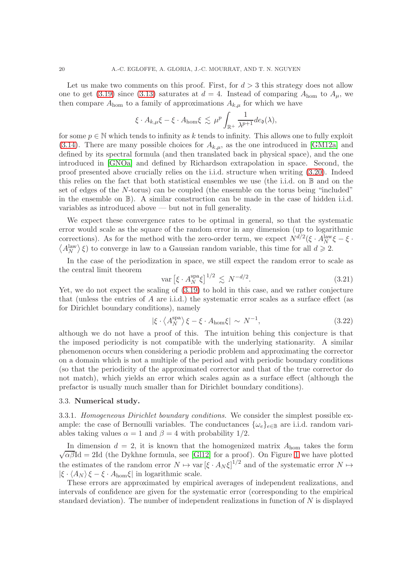Let us make two comments on this proof. First, for  $d > 3$  this strategy does not allow one to get [\(3.19\)](#page-18-0) since [\(3.13\)](#page-14-0) saturates at  $d = 4$ . Instead of comparing  $A_{\text{hom}}$  to  $A_{\mu}$ , we then compare  $A_{\text{hom}}$  to a family of approximations  $A_{k,\mu}$  for which we have

$$
\xi \cdot A_{k,\mu} \xi - \xi \cdot A_{\text{hom}} \xi \lesssim \mu^p \int_{\mathbb{R}^+} \frac{1}{\lambda^{p+1}} de_{\mathfrak{d}}(\lambda),
$$

for some  $p \in \mathbb{N}$  which tends to infinity as k tends to infinity. This allows one to fully exploit [\(3.14\)](#page-15-0). There are many possible choices for  $A_{k,\mu}$ , as the one introduced in [\[GM12a\]](#page-42-5) and defined by its spectral formula (and then translated back in physical space), and the one introduced in [\[GNOa\]](#page-42-3) and defined by Richardson extrapolation in space. Second, the proof presented above crucially relies on the i.i.d. structure when writing [\(3.20\)](#page-18-1). Indeed this relies on the fact that both statistical ensembles we use (the i.i.d. on B and on the set of edges of the N-torus) can be coupled (the ensemble on the torus being "included" in the ensemble on B). A similar construction can be made in the case of hidden i.i.d. variables as introduced above — but not in full generality.

We expect these convergence rates to be optimal in general, so that the systematic error would scale as the square of the random error in any dimension (up to logarithmic corrections). As for the method with the zero-order term, we expect  $N^{d/2}(\xi \cdot A_N^{\text{law}} \xi - \xi \cdot \xi)$  $\langle A_N^{\text{law}} \rangle \xi$  to converge in law to a Gaussian random variable, this time for all  $d \geq 2$ .

In the case of the periodization in space, we still expect the random error to scale as the central limit theorem

<span id="page-19-1"></span>
$$
\text{var}\left[\xi \cdot A_N^{\text{spa}} \xi\right]^{1/2} \lesssim N^{-d/2}.\tag{3.21}
$$

Yet, we do not expect the scaling of [\(3.19\)](#page-18-0) to hold in this case, and we rather conjecture that (unless the entries of  $A$  are i.i.d.) the systematic error scales as a surface effect (as for Dirichlet boundary conditions), namely

<span id="page-19-0"></span>
$$
|\xi \cdot \langle A_N^{\text{spa}} \rangle \xi - \xi \cdot A_{\text{hom}} \xi| \sim N^{-1}, \tag{3.22}
$$

although we do not have a proof of this. The intuition behing this conjecture is that the imposed periodicity is not compatible with the underlying stationarity. A similar phenomenon occurs when considering a periodic problem and approximating the corrector on a domain which is not a multiple of the period and with periodic boundary conditions (so that the periodicity of the approximated corrector and that of the true corrector do not match), which yields an error which scales again as a surface effect (although the prefactor is usually much smaller than for Dirichlet boundary conditions).

### <span id="page-19-2"></span>3.3. Numerical study.

3.3.1. Homogeneous Dirichlet boundary conditions. We consider the simplest possible example: the case of Bernoulli variables. The conductances  $\{\omega_e\}_{e \in \mathbb{B}}$  are i.i.d. random variables taking values  $\alpha = 1$  and  $\beta = 4$  with probability 1/2.

In dimension  $d = 2$ , it is known that the homogenized matrix  $A_{\text{hom}}$  takes the form  $\sqrt{\alpha\beta}$ Id = 2Id (the Dykhne formula, see [\[Gl12\]](#page-42-4) for a proof). On Figure [1](#page-20-0) we have plotted the estimates of the random error  $N \mapsto \text{var}[\xi \cdot A_N \xi]^{1/2}$  and of the systematic error  $N \mapsto$  $|\xi \cdot \langle A_N \rangle \xi - \xi \cdot A_{\text{hom}} \xi|$  in logarithmic scale.

These errors are approximated by empirical averages of independent realizations, and intervals of confidence are given for the systematic error (corresponding to the empirical standard deviation). The number of independent realizations in function of N is displayed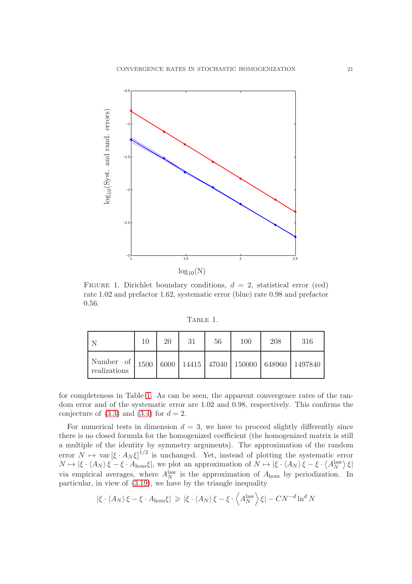

<span id="page-20-0"></span>FIGURE 1. Dirichlet boundary conditions,  $d = 2$ , statistical error (red) rate 1.02 and prefactor 1.62, systematic error (blue) rate 0.98 and prefactor 0.56.

<span id="page-20-1"></span>TABLE 1.

|                                                                                                  | 10 | 20 | 31 | 56 | 100 | 208 | 316 |
|--------------------------------------------------------------------------------------------------|----|----|----|----|-----|-----|-----|
| Number of   1500   6000   14415   47040   150000   648960   1497840 <sup> </sup><br>realizations |    |    |    |    |     |     |     |

for completeness in Table [1.](#page-20-1) As can be seen, the apparent convergence rates of the random error and of the systematic error are 1.02 and 0.98, respectively. This confirms the conjecture of  $(3.3)$  and  $(3.4)$  for  $d = 2$ .

For numerical tests in dimension  $d = 3$ , we have to proceed slightly differently since there is no closed formula for the homogenized coefficient (the homogenized matrix is still a multiple of the identity by symmetry arguments). The approximation of the random error  $N \mapsto \text{var}[\xi \cdot A_N \xi]^{1/2}$  is unchanged. Yet, instead of plotting the systematic error  $N \mapsto |\xi \cdot \langle A_N \rangle \xi - \xi \cdot A_{\text{hom}} \xi|$ , we plot an approximation of  $N \mapsto |\xi \cdot \langle A_N \rangle \xi - \xi \cdot \langle A_N^{\text{law}} \rangle \xi|$ via empirical averages, where  $A_N^{\text{law}}$  is the approximation of  $A_{\text{hom}}$  by periodization. In particular, in view of [\(3.19\)](#page-18-0), we have by the triangle inequality

$$
|\xi \cdot \langle A_N \rangle \xi - \xi \cdot A_{\text{hom}} \xi| \geqslant |\xi \cdot \langle A_N \rangle \xi - \xi \cdot \langle A_N^{\text{law}} \rangle \xi| - CN^{-d} \ln^d N
$$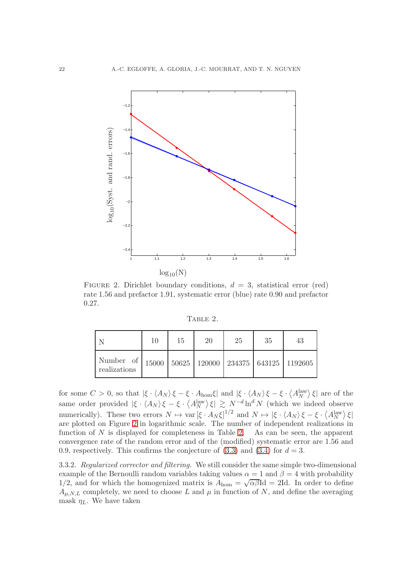

<span id="page-21-0"></span>FIGURE 2. Dirichlet boundary conditions,  $d = 3$ , statistical error (red) rate 1.56 and prefactor 1.91, systematic error (blue) rate 0.90 and prefactor 0.27.

<span id="page-21-1"></span>Table 2.

|                                                                                | 10 | 15 | 20 | 25 | 35 | 43 |
|--------------------------------------------------------------------------------|----|----|----|----|----|----|
| Number of   15000   50625   120000   234375   643125   1192605<br>realizations |    |    |    |    |    |    |

for some  $C > 0$ , so that  $|\xi \cdot \langle A_N \rangle \xi - \xi \cdot A_{\text{hom}} \xi|$  and  $|\xi \cdot \langle A_N \rangle \xi - \xi \cdot \langle A_N^{\text{law}} \rangle \xi|$  are of the same order provided  $|\xi \cdot \langle A_N \rangle \xi - \xi \cdot \langle A_N^{\text{law}} \rangle \xi| \gtrsim N^{-d} \ln^d N$  (which we indeed observe numerically). These two errors  $N \mapsto \text{var}[\xi \cdot A_N \xi]^{1/2}$  and  $N \mapsto |\xi \cdot \langle A_N \rangle \xi - \xi \cdot \langle A_N^{\text{law}} \rangle \xi|$ are plotted on Figure [2](#page-21-0) in logarithmic scale. The number of independent realizations in function of  $N$  is displayed for completeness in Table [2.](#page-21-1) As can be seen, the apparent convergence rate of the random error and of the (modified) systematic error are 1.56 and 0.9, respectively. This confirms the conjecture of  $(3.3)$  and  $(3.4)$  for  $d = 3$ .

<span id="page-21-2"></span>3.3.2. Regularized corrector and filtering. We still consider the same simple two-dimensional example of the Bernoulli random variables taking values  $\alpha = 1$  and  $\beta = 4$  with probability 1/2, and for which the homogenized matrix is  $A_{\text{hom}} = \sqrt{\alpha \beta} \text{Id} = 2 \text{Id}$ . In order to define  $A_{\mu,N,L}$  completely, we need to choose L and  $\mu$  in function of N, and define the averaging mask  $\eta_L$ . We have taken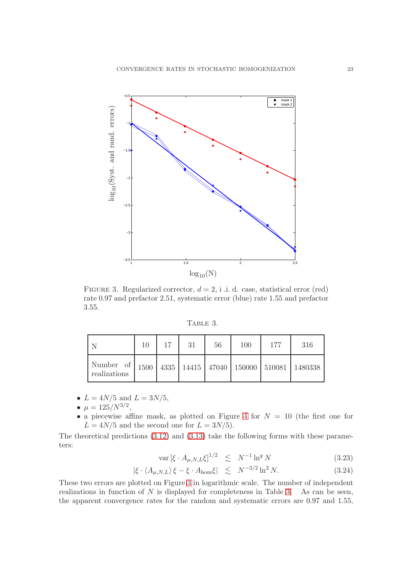

<span id="page-22-0"></span>FIGURE 3. Regularized corrector,  $d = 2$ , i .i. d. case, statistical error (red) rate 0.97 and prefactor 2.51, systematic error (blue) rate 1.55 and prefactor 3.55.

<span id="page-22-1"></span>TABLE 3.

|                                                                                     | 10 | 17 | 31 | 56 | 100 | 177 | 316 |
|-------------------------------------------------------------------------------------|----|----|----|----|-----|-----|-----|
| Number of   1500   4335   14415   47040   150000   510081   1480338<br>realizations |    |    |    |    |     |     |     |

•  $L = 4N/5$  and  $L = 3N/5$ ,

$$
\bullet \ \mu = 125/N^{3/2},
$$

• a piecewise affine mask, as plotted on Figure [4](#page-23-0) for  $N = 10$  (the first one for  $L = 4N/5$  and the second one for  $L = 3N/5$ .

The theoretical predictions [\(3.12\)](#page-14-2) and [\(3.13\)](#page-14-0) take the following forms with these parameters:

<span id="page-22-2"></span>
$$
\text{var}\left[\xi \cdot A_{\mu,N,L}\xi\right]^{1/2} \quad \lesssim \quad N^{-1}\ln^q N \tag{3.23}
$$

$$
|\xi \cdot \langle A_{\mu, N, L} \rangle \xi - \xi \cdot A_{\text{hom}} \xi| \leq N^{-3/2} \ln^2 N. \tag{3.24}
$$

These two errors are plotted on Figure [3](#page-22-0) in logarithmic scale. The number of independent realizations in function of  $N$  is displayed for completeness in Table [3.](#page-22-1) As can be seen, the apparent convergence rates for the random and systematic errors are 0.97 and 1.55,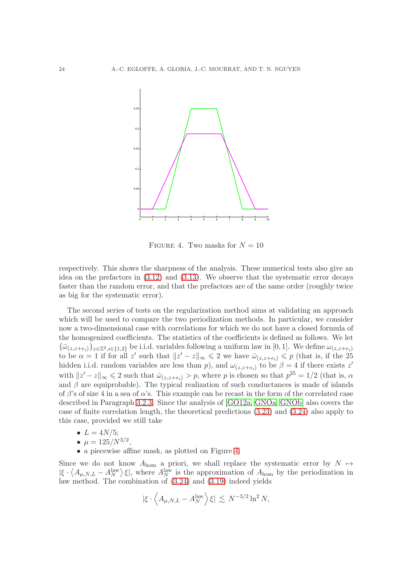

<span id="page-23-0"></span>FIGURE 4. Two masks for  $N = 10$ 

respectively. This shows the sharpness of the analysis. These numerical tests also give an idea on the prefactors in [\(3.12\)](#page-14-2) and [\(3.13\)](#page-14-0). We observe that the systematic error decays faster than the random error, and that the prefactors are of the same order (roughly twice as big for the systematic error).

The second series of tests on the regularization method aims at validating an approach which will be used to compare the two periodization methods. In particular, we consider now a two-dimensional case with correlations for which we do not have a closed formula of the homogenized coefficients. The statistics of the coefficients is defined as follows. We let  ${\bar{\omega}}_{(z,z+e_i)}\}_{z\in\mathbb{Z}^2, i\in\{1,2\}}$  be i.i.d. variables following a uniform law in [0, 1]. We define  $\omega_{(z,z+e_i)}$ to be  $\alpha = 1$  if for all z' such that  $||z' - z||_{\infty} \le 2$  we have  $\bar{\omega}_{(z, z+e_i)} \le p$  (that is, if the 25 hidden i.i.d. random variables are less than p, and  $\omega_{(z,z+e_i)}$  to be  $\beta = 4$  if there exists z' with  $||z'-z||_{\infty} \leq 2$  such that  $\bar{\omega}_{(z,z+e_i)} > p$ , where p is chosen so that  $p^{25} = 1/2$  (that is,  $\alpha$ and  $\beta$  are equiprobable). The typical realization of such conductances is made of islands of  $\beta$ 's of size 4 in a sea of  $\alpha$ 's. This example can be recast in the form of the correlated case described in Paragraph [3.2.3.](#page-16-1) Since the analysis of [\[GO12a,](#page-42-1) [GNOa,](#page-42-3) [GNOb\]](#page-42-7) also covers the case of finite correlation length, the theoretical predictions [\(3.23\)](#page-22-2) and [\(3.24\)](#page-22-2) also apply to this case, provided we still take

- $L = 4N/5;$
- $\mu = 125/N^{3/2}$ ,
- a piecewise affine mask, as plotted on Figure [4.](#page-23-0)

Since we do not know  $A_{\text{hom}}$  a priori, we shall replace the systematic error by  $N \mapsto$  $|\xi \cdot \langle A_{\mu,N,L} - A_N^{\text{law}} \rangle \xi|$ , where  $A_N^{\text{law}}$  is the approximation of  $A_{\text{hom}}$  by the periodization in law method. The combination of [\(3.24\)](#page-22-2) and [\(3.19\)](#page-18-0) indeed yields

$$
|\xi \cdot \left\langle A_{\mu,N,L} - A_N^{\text{law}} \right\rangle \xi| \lesssim N^{-3/2} \ln^2 N,
$$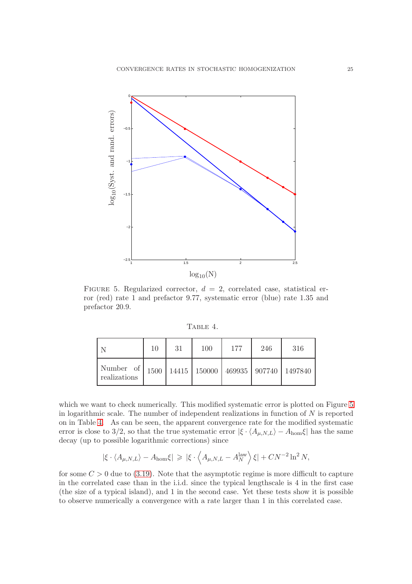

<span id="page-24-0"></span>FIGURE 5. Regularized corrector,  $d = 2$ , correlated case, statistical error (red) rate 1 and prefactor 9.77, systematic error (blue) rate 1.35 and prefactor 20.9.

<span id="page-24-1"></span>TABLE 4.

|                                                                               | 10 | 31 | 100 | 177 | 246 | 316 |
|-------------------------------------------------------------------------------|----|----|-----|-----|-----|-----|
| Number of   1500   14415   150000   469935   907740   1497840<br>realizations |    |    |     |     |     |     |

which we want to check numerically. This modified systematic error is plotted on Figure [5](#page-24-0) in logarithmic scale. The number of independent realizations in function of  $N$  is reported on in Table [4.](#page-24-1) As can be seen, the apparent convergence rate for the modified systematic error is close to 3/2, so that the true systematic error  $|\xi \cdot \langle A_{\mu,N,L} \rangle - A_{\text{hom}} \xi|$  has the same decay (up to possible logarithmic corrections) since

$$
|\xi \cdot \langle A_{\mu,N,L} \rangle - A_{\text{hom}} \xi| \geqslant |\xi \cdot \langle A_{\mu,N,L} - A_N^{\text{law}} \rangle \xi| + C N^{-2} \ln^2 N,
$$

for some  $C > 0$  due to [\(3.19\)](#page-18-0). Note that the asymptotic regime is more difficult to capture in the correlated case than in the i.i.d. since the typical lengthscale is 4 in the first case (the size of a typical island), and 1 in the second case. Yet these tests show it is possible to observe numerically a convergence with a rate larger than 1 in this correlated case.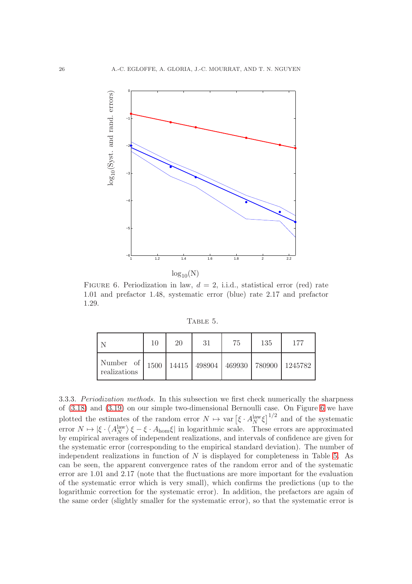

<span id="page-25-0"></span>FIGURE 6. Periodization in law,  $d = 2$ , i.i.d., statistical error (red) rate 1.01 and prefactor 1.48, systematic error (blue) rate 2.17 and prefactor 1.29.

<span id="page-25-1"></span>TABLE 5.

|                                                                               | 10 | 20 | 31 | 75 | 135 | 177 |
|-------------------------------------------------------------------------------|----|----|----|----|-----|-----|
| Number of   1500   14415   498904   469930   780900   1245782<br>realizations |    |    |    |    |     |     |

3.3.3. Periodization methods. In this subsection we first check numerically the sharpness of [\(3.18\)](#page-18-2) and [\(3.19\)](#page-18-0) on our simple two-dimensional Bernoulli case. On Figure [6](#page-25-0) we have plotted the estimates of the random error  $N \mapsto \text{var} \left[ \xi \cdot A_N^{\text{law}} \xi \right]^{1/2}$  and of the systematic error  $N \mapsto |\xi \cdot \langle A_N^{\text{law}} \rangle \xi - \xi \cdot A_{\text{hom}} \xi|$  in logarithmic scale. These errors are approximated by empirical averages of independent realizations, and intervals of confidence are given for the systematic error (corresponding to the empirical standard deviation). The number of independent realizations in function of  $N$  is displayed for completeness in Table [5.](#page-25-1) As can be seen, the apparent convergence rates of the random error and of the systematic error are 1.01 and 2.17 (note that the fluctuations are more important for the evaluation of the systematic error which is very small), which confirms the predictions (up to the logarithmic correction for the systematic error). In addition, the prefactors are again of the same order (slightly smaller for the systematic error), so that the systematic error is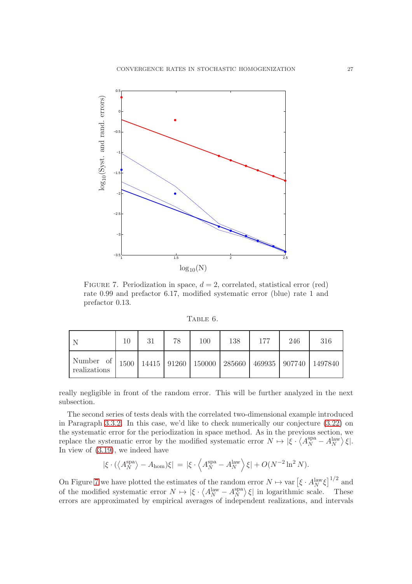

<span id="page-26-0"></span>FIGURE 7. Periodization in space,  $d = 2$ , correlated, statistical error (red) rate 0.99 and prefactor 6.17, modified systematic error (blue) rate 1 and prefactor 0.13.

<span id="page-26-1"></span>TABLE 6.

|                                                                                                | 10 | 31 | 78 | 100 | 138 | 177 | 246 | 316 |
|------------------------------------------------------------------------------------------------|----|----|----|-----|-----|-----|-----|-----|
| Number of   1500   14415   91260   150000   285660   469935   907740   1497840<br>realizations |    |    |    |     |     |     |     |     |

really negligible in front of the random error. This will be further analyzed in the next subsection.

The second series of tests deals with the correlated two-dimensional example introduced in Paragraph [3.3.2.](#page-21-2) In this case, we'd like to check numerically our conjecture [\(3.22\)](#page-19-0) on the systematic error for the periodization in space method. As in the previous section, we replace the systematic error by the modified systematic error  $N \mapsto \left[ \xi \cdot \left\langle A_N^{\text{spa}} - A_N^{\text{law}} \right\rangle \xi \right]$ . In view of [\(3.19\)](#page-18-0), we indeed have

$$
|\xi \cdot (\langle A_N^{\rm spa} \rangle - A_{\rm hom})\xi| = |\xi \cdot \langle A_N^{\rm spa} - A_N^{\rm law} \rangle \xi| + O(N^{-2} \ln^2 N).
$$

On Figure [7](#page-26-0) we have plotted the estimates of the random error  $N \mapsto \text{var} \left[ \xi \cdot A_N^{\text{law}} \xi \right]^{1/2}$  and of the modified systematic error  $N \mapsto |\xi \cdot \langle A_N^{\text{law}} - A_N^{\text{spa}} \rangle$  $\binom{\text{spa}}{N}$   $\xi$  in logarithmic scale. These errors are approximated by empirical averages of independent realizations, and intervals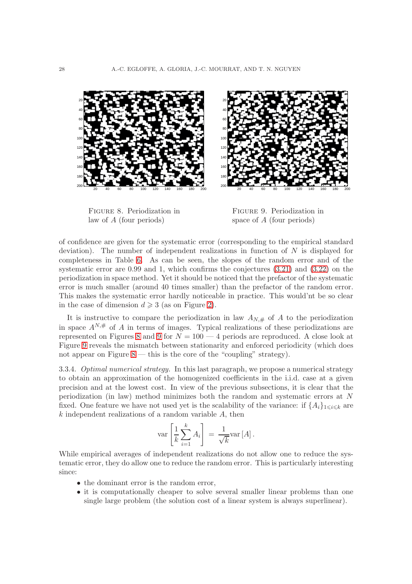

<span id="page-27-0"></span>Figure 8. Periodization in law of A (four periods)

<span id="page-27-1"></span>Figure 9. Periodization in space of A (four periods)

of confidence are given for the systematic error (corresponding to the empirical standard deviation). The number of independent realizations in function of  $N$  is displayed for completeness in Table [6.](#page-26-1) As can be seen, the slopes of the random error and of the systematic error are 0.99 and 1, which confirms the conjectures [\(3.21\)](#page-19-1) and [\(3.22\)](#page-19-0) on the periodization in space method. Yet it should be noticed that the prefactor of the systematic error is much smaller (around 40 times smaller) than the prefactor of the random error. This makes the systematic error hardly noticeable in practice. This would'nt be so clear in the case of dimension  $d \geq 3$  (as on Figure [2\)](#page-21-0).

It is instructive to compare the periodization in law  $A_{N,\#}$  of A to the periodization in space  $A^{N,\#}$  of A in terms of images. Typical realizations of these periodizations are represented on Figures [8](#page-27-0) and [9](#page-27-1) for  $N = 100 - 4$  periods are reproduced. A close look at Figure [9](#page-27-1) reveals the mismatch between stationarity and enforced periodicity (which does not appear on Figure  $8$  — this is the core of the "coupling" strategy).

3.3.4. Optimal numerical strategy. In this last paragraph, we propose a numerical strategy to obtain an approximation of the homogenized coefficients in the i.i.d. case at a given precision and at the lowest cost. In view of the previous subsections, it is clear that the periodization (in law) method minimizes both the random and systematic errors at N fixed. One feature we have not used yet is the scalability of the variance: if  $\{A_i\}_{1\leq i\leq k}$  are  $k$  independent realizations of a random variable  $A$ , then

$$
\text{var}\left[\frac{1}{k}\sum_{i=1}^{k}A_i\right] = \frac{1}{\sqrt{k}}\text{var}\left[A\right].
$$

While empirical averages of independent realizations do not allow one to reduce the systematic error, they do allow one to reduce the random error. This is particularly interesting since:

- the dominant error is the random error,
- it is computationally cheaper to solve several smaller linear problems than one single large problem (the solution cost of a linear system is always superlinear).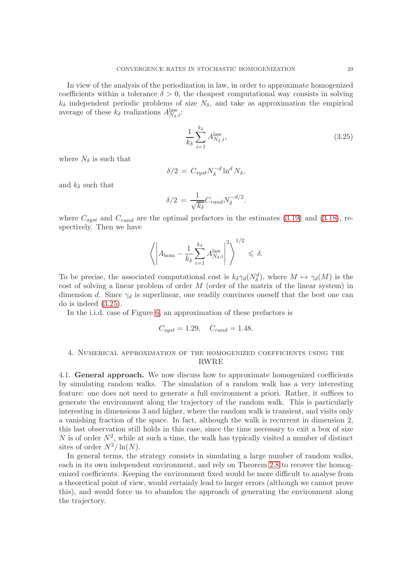In view of the analysis of the periodization in law, in order to approximate homogenized coefficients within a tolerance  $\delta > 0$ , the cheapest computational way consists in solving  $k_{\delta}$  independent periodic problems of size  $N_{\delta}$ , and take as approximation the empirical average of these  $k_{\delta}$  realizations  $A^{\text{law}}_{N_{\delta},i}$ :

<span id="page-28-0"></span>
$$
\frac{1}{k_{\delta}} \sum_{i=1}^{k_{\delta}} A_{N_{\delta},i}^{\text{law}},\tag{3.25}
$$

where  $N_{\delta}$  is such that

$$
\delta/2 = C_{syst} N_{\delta}^{-d} \ln^d N_{\delta},
$$

and  $k_{\delta}$  such that

$$
\delta/2 = \frac{1}{\sqrt{k_{\delta}}} C_{rand} N_{\delta}^{-d/2}.
$$

where  $C_{syst}$  and  $C_{rand}$  are the optimal prefactors in the estimates [\(3.19\)](#page-18-0) and [\(3.18\)](#page-18-2), respectively. Then we have

$$
\left\langle \left| A_{\text{hom}} - \frac{1}{k_{\delta}} \sum_{i=1}^{k_{\delta}} A_{N_{\delta},i}^{\text{law}} \right|^2 \right\rangle^{1/2} \leq \delta.
$$

To be precise, the associated computational cost is  $k_{\delta}\gamma_d(N_{\delta}^d)$ , where  $M \mapsto \gamma_d(M)$  is the cost of solving a linear problem of order  $M$  (order of the matrix of the linear system) in dimension d. Since  $\gamma_d$  is superlinear, one readily convinces oneself that the best one can do is indeed [\(3.25\)](#page-28-0).

In the i.i.d. case of Figure [6,](#page-25-0) an approximation of these prefactors is

$$
C_{syst} = 1.29, \quad C_{rand} = 1.48.
$$

# 4. Numerical approximation of the homogenized coefficients using the RWRE

4.1. General approach. We now discuss how to approximate homogenized coefficients by simulating random walks. The simulation of a random walk has a very interesting feature: one does not need to generate a full environment a priori. Rather, it suffices to generate the environment along the trajectory of the random walk. This is particularly interesting in dimensions 3 and higher, where the random walk is transient, and visits only a vanishing fraction of the space. In fact, although the walk is recurrent in dimension 2, this last observation still holds in this case, since the time necessary to exit a box of size N is of order  $N^2$ , while at such a time, the walk has typically visited a number of distinct sites of order  $N^2/\ln(N)$ .

In general terms, the strategy consists in simulating a large number of random walks, each in its own independent environment, and rely on Theorem [2.8](#page-8-3) to recover the homogenized coefficients. Keeping the environment fixed would be more difficult to analyse from a theoretical point of view, would certainly lead to larger errors (although we cannot prove this), and would force us to abandon the approach of generating the environment along the trajectory.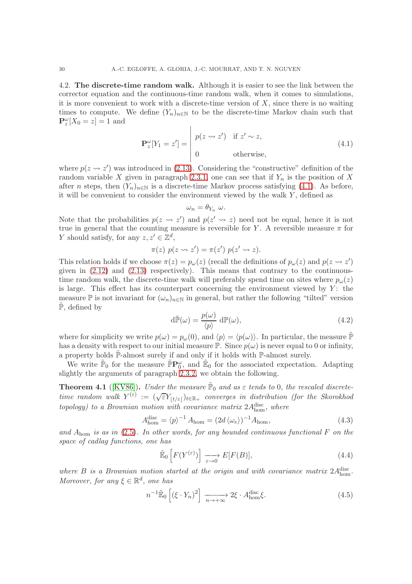4.2. The discrete-time random walk. Although it is easier to see the link between the corrector equation and the continuous-time random walk, when it comes to simulations, it is more convenient to work with a discrete-time version of  $X$ , since there is no waiting times to compute. We define  $(Y_n)_{n\in\mathbb{N}}$  to be the discrete-time Markov chain such that  $\mathbf{P}_z^{\omega}[X_0=z]=1$  and

<span id="page-29-0"></span>
$$
\mathbf{P}_z^{\omega}[Y_1 = z'] = \begin{vmatrix} p(z \leadsto z') & \text{if } z' \sim z, \\ 0 & \text{otherwise,} \end{vmatrix}
$$
 (4.1)

where  $p(z \rightarrow z')$  was introduced in [\(2.13\)](#page-6-1). Considering the "constructive" definition of the random variable X given in paragraph [2.3.1,](#page-5-2) one can see that if  $Y_n$  is the position of X after n steps, then  $(Y_n)_{n\in\mathbb{N}}$  is a discrete-time Markov process satisfying [\(4.1\)](#page-29-0). As before, it will be convenient to consider the environment viewed by the walk  $Y$ , defined as

$$
\omega_n = \theta_{Y_n} \; \omega.
$$

Note that the probabilities  $p(z \leadsto z')$  and  $p(z' \leadsto z)$  need not be equal, hence it is not true in general that the counting measure is reversible for Y. A reversible measure  $\pi$  for Y should satisfy, for any  $z, z' \in \mathbb{Z}^d$ ,

$$
\pi(z) p(z \leadsto z') = \pi(z') p(z' \leadsto z).
$$

This relation holds if we choose  $\pi(z) = p_{\omega}(z)$  (recall the definitions of  $p_{\omega}(z)$  and  $p(z \leadsto z')$ ) given in  $(2.12)$  and  $(2.13)$  respectively). This means that contrary to the continuoustime random walk, the discrete-time walk will preferably spend time on sites where  $p_{\omega}(z)$ is large. This effect has its counterpart concerning the environment viewed by  $Y$ : the measure  $\mathbb P$  is not invariant for  $(\omega_n)_{n\in\mathbb N}$  in general, but rather the following "tilted" version  $\tilde{\mathbb{P}}$ , defined by

<span id="page-29-3"></span>
$$
d\tilde{\mathbb{P}}(\omega) = \frac{p(\omega)}{\langle p \rangle} d\mathbb{P}(\omega),
$$
\n(4.2)

where for simplicity we write  $p(\omega) = p_{\omega}(0)$ , and  $\langle p \rangle = \langle p(\omega) \rangle$ . In particular, the measure  $\tilde{P}$ has a density with respect to our initial measure  $\mathbb{P}$ . Since  $p(\omega)$  is never equal to 0 or infinity, a property holds  $\tilde{\mathbb{P}}$ -almost surely if and only if it holds with  $\mathbb{P}$ -almost surely.

We write  $\tilde{\mathbb{P}}_0$  for the measure  $\tilde{\mathbb{P}}\mathbf{P}^\omega_0$ , and  $\tilde{\mathbb{E}}_0$  for the associated expectation. Adapting slightly the arguments of paragraph [2.3.2,](#page-8-4) we obtain the following.

**Theorem 4.1** ([\[KV86\]](#page-42-10)). Under the measure  $\tilde{P}_0$  and as  $\varepsilon$  tends to 0, the rescaled discretetime random walk  $Y^{(\varepsilon)} := (\sqrt{\varepsilon} Y_{\lfloor t/\varepsilon \rfloor})_{t \in \mathbb{R}_+}$  converges in distribution (for the Skorokhod topology) to a Brownian motion with covariance matrix  $2A_{\text{hom}}^{\text{disc}}$ , where

<span id="page-29-4"></span>
$$
A_{\text{hom}}^{\text{disc}} = \langle p \rangle^{-1} A_{\text{hom}} = (2d \langle \omega_e \rangle)^{-1} A_{\text{hom}}, \tag{4.3}
$$

and  $A_{\text{hom}}$  is as in [\(2.5\)](#page-2-7). In other words, for any bounded continuous functional F on the space of cadlag functions, one has

<span id="page-29-2"></span>
$$
\tilde{\mathbb{E}}_0\left[F(Y^{(\varepsilon)})\right] \xrightarrow[\varepsilon \to 0]{} E[F(B)],\tag{4.4}
$$

where  $B$  is a Brownian motion started at the origin and with covariance matrix  $2A_{\text{hom}}^{\text{disc}}$ . Moreover, for any  $\xi \in \mathbb{R}^d$ , one has

<span id="page-29-1"></span>
$$
n^{-1}\tilde{\mathbb{E}}_0\left[\left(\xi \cdot Y_n\right)^2\right] \xrightarrow[n \to +\infty]{} 2\xi \cdot A_{\text{hom}}^{\text{disc}}\xi. \tag{4.5}
$$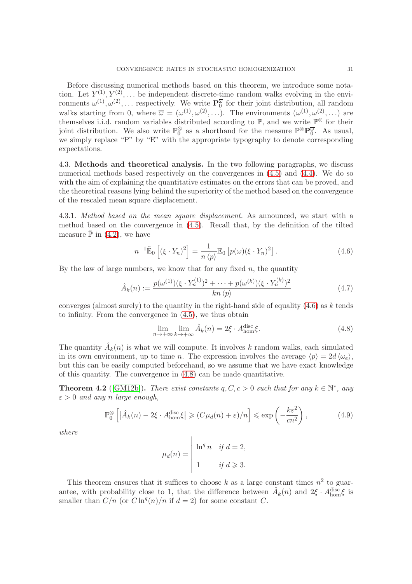Before discussing numerical methods based on this theorem, we introduce some notation. Let  $Y^{(1)}, Y^{(2)}, \ldots$  be independent discrete-time random walks evolving in the environments  $\omega^{(1)}, \omega^{(2)}, \ldots$  respectively. We write  $\mathbf{P}_0^{\overline{\omega}}$  for their joint distribution, all random walks starting from 0, where  $\overline{\omega} = (\omega^{(1)}, \omega^{(2)}, \ldots)$ . The environments  $(\omega^{(1)}, \omega^{(2)}, \ldots)$  are themselves i.i.d. random variables distributed according to  $\mathbb{P}$ , and we write  $\mathbb{P}^{\otimes}$  for their joint distribution. We also write  $\mathbb{P}_0^{\otimes}$  as a shorthand for the measure  $\mathbb{P}^{\otimes}P_0^{\overline{\omega}}$ . As usual, we simply replace "P" by "E" with the appropriate typography to denote corresponding expectations.

4.3. Methods and theoretical analysis. In the two following paragraphs, we discuss numerical methods based respectively on the convergences in [\(4.5\)](#page-29-1) and [\(4.4\)](#page-29-2). We do so with the aim of explaining the quantitative estimates on the errors that can be proved, and the theoretical reasons lying behind the superiority of the method based on the convergence of the rescaled mean square displacement.

4.3.1. Method based on the mean square displacement. As announced, we start with a method based on the convergence in [\(4.5\)](#page-29-1). Recall that, by the definition of the tilted measure  $\tilde{\mathbb{P}}$  in [\(4.2\)](#page-29-3), we have

<span id="page-30-0"></span>
$$
n^{-1}\tilde{\mathbb{E}}_0\left[\left(\xi \cdot Y_n\right)^2\right] = \frac{1}{n \langle p \rangle} \mathbb{E}_0\left[p(\omega)(\xi \cdot Y_n)^2\right].\tag{4.6}
$$

By the law of large numbers, we know that for any fixed  $n$ , the quantity

$$
\hat{A}_k(n) := \frac{p(\omega^{(1)})(\xi \cdot Y_n^{(1)})^2 + \dots + p(\omega^{(k)})(\xi \cdot Y_n^{(k)})^2}{kn \langle p \rangle} \tag{4.7}
$$

converges (almost surely) to the quantity in the right-hand side of equality  $(4.6)$  as k tends to infinity. From the convergence in [\(4.5\)](#page-29-1), we thus obtain

<span id="page-30-1"></span>
$$
\lim_{n \to +\infty} \lim_{k \to +\infty} \hat{A}_k(n) = 2\xi \cdot A_{\text{hom}}^{\text{disc}} \xi. \tag{4.8}
$$

The quantity  $\hat{A}_k(n)$  is what we will compute. It involves k random walks, each simulated in its own environment, up to time n. The expression involves the average  $\langle p \rangle = 2d \langle \omega_e \rangle$ , but this can be easily computed beforehand, so we assume that we have exact knowledge of this quantity. The convergence in [\(4.8\)](#page-30-1) can be made quantitative.

<span id="page-30-2"></span>**Theorem 4.2** ([\[GM12b\]](#page-42-6)). There exist constants  $q, C, c > 0$  such that for any  $k \in \mathbb{N}^*$ , any  $\varepsilon > 0$  and any n large enough,

$$
\mathbb{P}_0^{\otimes} \left[ \left| \hat{A}_k(n) - 2\xi \cdot A_{\text{hom}}^{\text{disc}} \xi \right| \geqslant (C\mu_d(n) + \varepsilon)/n \right] \leqslant \exp\left( -\frac{k\varepsilon^2}{cn^2} \right),\tag{4.9}
$$

where

$$
\mu_d(n) = \begin{vmatrix} \ln^q n & \text{if } d = 2, \\ 1 & \text{if } d \geqslant 3. \end{vmatrix}
$$

This theorem ensures that it suffices to choose k as a large constant times  $n^2$  to guarantee, with probability close to 1, that the difference between  $\hat{A}_k(n)$  and  $2\xi \cdot A_{\text{hom}}^{\text{disc}} \xi$  is smaller than  $C/n$  (or  $C \ln^q(n)/n$  if  $d = 2$ ) for some constant C.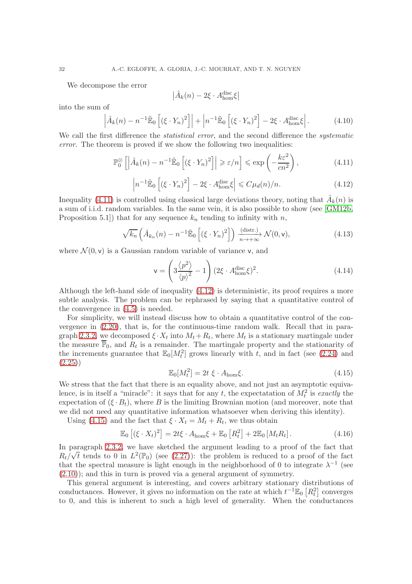We decompose the error

$$
\left|\hat{A}_k(n) - 2\xi \cdot A_{\text{hom}}^{\text{disc}}\xi\right|
$$

into the sum of

<span id="page-31-4"></span>
$$
\left| \hat{A}_k(n) - n^{-1} \tilde{\mathbb{E}}_0 \left[ (\xi \cdot Y_n)^2 \right] \right| + \left| n^{-1} \tilde{\mathbb{E}}_0 \left[ (\xi \cdot Y_n)^2 \right] - 2\xi \cdot A_{\text{hom}}^{\text{disc}} \xi \right|.
$$
 (4.10)

We call the first difference the *statistical error*, and the second difference the *systematic* error. The theorem is proved if we show the following two inequalities:

<span id="page-31-0"></span>
$$
\mathbb{P}_0^{\otimes} \left[ \left| \hat{A}_k(n) - n^{-1} \tilde{\mathbb{E}}_0 \left[ (\xi \cdot Y_n)^2 \right] \right| \geqslant \varepsilon/n \right] \leqslant \exp\left( -\frac{k\varepsilon^2}{cn^2} \right),\tag{4.11}
$$

<span id="page-31-1"></span>
$$
\left| n^{-1} \tilde{\mathbb{E}}_0 \left[ \left( \xi \cdot Y_n \right)^2 \right] - 2\xi \cdot A_{\text{hom}}^{\text{disc}} \xi \right| \leqslant C \mu_d(n)/n. \tag{4.12}
$$

Inequality [\(4.11\)](#page-31-0) is controlled using classical large deviations theory, noting that  $\hat{A}_k(n)$  is a sum of i.i.d. random variables. In the same vein, it is also possible to show (see [\[GM12b,](#page-42-6) Proposition 5.1) that for any sequence  $k_n$  tending to infinity with n,

<span id="page-31-5"></span>
$$
\sqrt{k_n}\left(\hat{A}_{k_n}(n) - n^{-1}\tilde{\mathbb{E}}_0\left[\left(\xi \cdot Y_n\right)^2\right]\right) \xrightarrow[n \to +\infty]{(\text{distr.})} \mathcal{N}(0, \mathsf{v}),\tag{4.13}
$$

where  $\mathcal{N}(0, \mathbf{v})$  is a Gaussian random variable of variance v, and

<span id="page-31-6"></span>
$$
\mathbf{v} = \left(3\frac{\langle p^2 \rangle}{\langle p \rangle^2} - 1\right) (2\xi \cdot A_{\text{hom}}^{\text{disc}} \xi)^2.
$$
 (4.14)

Although the left-hand side of inequality [\(4.12\)](#page-31-1) is deterministic, its proof requires a more subtle analysis. The problem can be rephrased by saying that a quantitative control of the convergence in [\(4.5\)](#page-29-1) is needed.

For simplicity, we will instead discuss how to obtain a quantitative control of the convergence in [\(2.20\)](#page-8-0), that is, for the continuous-time random walk. Recall that in para-graph [2.3.2,](#page-8-4) we decomposed  $\xi \cdot X_t$  into  $M_t + R_t$ , where  $M_t$  is a stationary martingale under the measure  $\overline{\mathbb{P}}_0$ , and  $R_t$  is a remainder. The martingale property and the stationarity of the increments guarantee that  $\mathbb{E}_0[M_t^2]$  grows linearly with t, and in fact (see [\(2.24\)](#page-9-0) and  $(2.25)$ 

<span id="page-31-2"></span>
$$
\mathbb{E}_0[M_t^2] = 2t \xi \cdot A_{\text{hom}}\xi. \tag{4.15}
$$

We stress that the fact that there is an equality above, and not just an asymptotic equivalence, is in itself a "miracle": it says that for any t, the expectatation of  $M_t^2$  is exactly the expectation of  $(\xi \cdot B_t)$ , where B is the limiting Brownian motion (and moreover, note that we did not need any quantitative information whatsoever when deriving this identity).

Using [\(4.15\)](#page-31-2) and the fact that  $\xi \cdot X_t = M_t + R_t$ , we thus obtain

<span id="page-31-3"></span>
$$
\mathbb{E}_0\left[ (\xi \cdot X_t)^2 \right] = 2t\xi \cdot A_{\text{hom}}\xi + \mathbb{E}_0\left[ R_t^2 \right] + 2\mathbb{E}_0\left[ M_t R_t \right]. \tag{4.16}
$$

In paragraph [2.3.2,](#page-8-4) we have sketched the argument leading to a proof of the fact that  $R_t/\sqrt{t}$  tends to 0 in  $L^2(\mathbb{P}_0)$  (see [\(2.27\)](#page-10-0)): the problem is reduced to a proof of the fact that the spectral measure is light enough in the neighborhood of 0 to integrate  $\lambda^{-1}$  (see [\(2.10\)](#page-5-0)); and this in turn is proved via a general argument of symmetry.

This general argument is interesting, and covers arbitrary stationary distributions of conductances. However, it gives no information on the rate at which  $t^{-1}\mathbb{E}_0\left[R_t^2\right]$  converges to 0, and this is inherent to such a high level of generality. When the conductances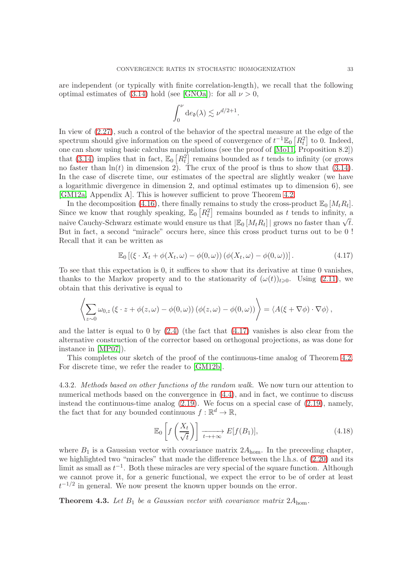are independent (or typically with finite correlation-length), we recall that the following optimal estimates of [\(3.14\)](#page-15-0) hold (see [\[GNOa\]](#page-42-3)): for all  $\nu > 0$ ,

$$
\int_0^{\nu} d e_{\mathfrak{d}}(\lambda) \lesssim \nu^{d/2+1}.
$$

In view of [\(2.27\)](#page-10-0), such a control of the behavior of the spectral measure at the edge of the spectrum should give information on the speed of convergence of  $t^{-1}\mathbb{E}_0\left[R_t^2\right]$  to 0. Indeed, one can show using basic calculus manipulations (see the proof of [\[Mo11,](#page-42-2) Proposition 8.2]) that [\(3.14\)](#page-15-0) implies that in fact,  $\mathbb{E}_0\left[R_t^2\right]$  remains bounded as t tends to infinity (or grows no faster than  $\ln(t)$  in dimension 2). The crux of the proof is thus to show that [\(3.14\)](#page-15-0). In the case of discrete time, our estimates of the spectral are slightly weaker (we have a logarithmic divergence in dimension 2, and optimal estimates up to dimension 6), see [\[GM12a,](#page-42-5) Appendix A]. This is however sufficient to prove Theorem [4.2.](#page-30-2)

In the decomposition [\(4.16\)](#page-31-3), there finally remains to study the cross-product  $\mathbb{E}_0 \left[ M_t R_t \right]$ . Since we know that roughly speaking,  $\mathbb{E}_0\left[R_t^2\right]$  remains bounded as t tends to infinity, a naive Cauchy-Schwarz estimate would ensure us that  $|\mathbb{E}_0[M_tR_t]|$  grows no faster than  $\sqrt{t}$ . But in fact, a second "miracle" occurs here, since this cross product turns out to be 0 ! Recall that it can be written as

<span id="page-32-0"></span>
$$
\mathbb{E}_0\left[\left(\xi \cdot X_t + \phi(X_t, \omega) - \phi(0, \omega)\right)\left(\phi(X_t, \omega) - \phi(0, \omega)\right)\right].\tag{4.17}
$$

To see that this expectation is 0, it suffices to show that its derivative at time 0 vanishes, thanks to the Markov property and to the stationarity of  $(\omega(t))_{t\geq0}$ . Using [\(2.11\)](#page-5-1), we obtain that this derivative is equal to

$$
\left\langle \sum_{z \sim 0} \omega_{0,z} \left( \xi \cdot z + \phi(z,\omega) - \phi(0,\omega) \right) \left( \phi(z,\omega) - \phi(0,\omega) \right) \right\rangle = \left\langle A(\xi + \nabla \phi) \cdot \nabla \phi \right\rangle,
$$

and the latter is equal to 0 by  $(2.4)$  (the fact that  $(4.17)$  vanishes is also clear from the alternative construction of the corrector based on orthogonal projections, as was done for instance in [\[MP07\]](#page-42-18)).

This completes our sketch of the proof of the continuous-time analog of Theorem [4.2.](#page-30-2) For discrete time, we refer the reader to [\[GM12b\]](#page-42-6).

4.3.2. Methods based on other functions of the random walk. We now turn our attention to numerical methods based on the convergence in [\(4.4\)](#page-29-2), and in fact, we continue to discuss instead the continuous-time analog [\(2.19\)](#page-8-1). We focus on a special case of [\(2.19\)](#page-8-1), namely, the fact that for any bounded continuous  $f: \mathbb{R}^d \to \mathbb{R}$ ,

$$
\mathbb{E}_0\left[f\left(\frac{X_t}{\sqrt{t}}\right)\right] \xrightarrow[t \to +\infty]{} E[f(B_1)],\tag{4.18}
$$

where  $B_1$  is a Gaussian vector with covariance matrix  $2A_{\text{hom}}$ . In the preceeding chapter, we highlighted two "miracles" that made the difference between the l.h.s. of [\(2.20\)](#page-8-0) and its limit as small as  $t^{-1}$ . Both these miracles are very special of the square function. Although we cannot prove it, for a generic functional, we expect the error to be of order at least  $t^{-1/2}$  in general. We now present the known upper bounds on the error.

<span id="page-32-1"></span>**Theorem 4.3.** Let  $B_1$  be a Gaussian vector with covariance matrix  $2A_{\text{hom}}$ .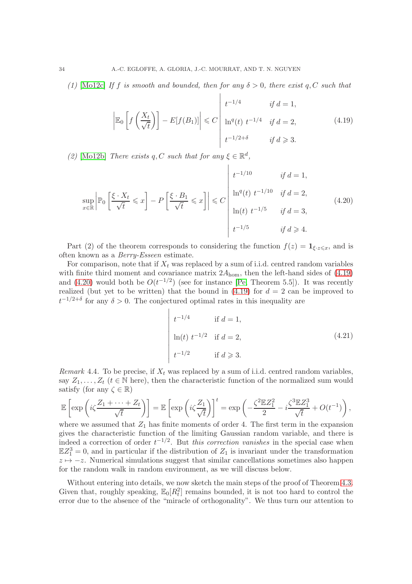(1) [\[Mo12c\]](#page-42-19) If f is smooth and bounded, then for any  $\delta > 0$ , there exist q, C such that

<span id="page-33-0"></span>
$$
\left| \mathbb{E}_0 \left[ f\left(\frac{X_t}{\sqrt{t}}\right) \right] - E[f(B_1)] \right| \leq C \left| \begin{array}{ccc} t^{-1/4} & \text{if } d = 1, \\ \ln^q(t) & t^{-1/4} & \text{if } d = 2, \\ t^{-1/2+\delta} & \text{if } d \geq 3. \end{array} \right. \tag{4.19}
$$

(2) [\[Mo12b\]](#page-42-20) There exists q, C such that for any  $\xi \in \mathbb{R}^d$ ,

<span id="page-33-1"></span>
$$
\sup_{x \in \mathbb{R}} \left| \mathbb{P}_0 \left[ \frac{\xi \cdot X_t}{\sqrt{t}} \leqslant x \right] - P \left[ \frac{\xi \cdot B_1}{\sqrt{t}} \leqslant x \right] \right| \leqslant C \left| \begin{array}{ccc} t^{-1/10} & \text{if } d = 1, \\ \ln^q(t) \ t^{-1/10} & \text{if } d = 2, \\ \ln(t) \ t^{-1/5} & \text{if } d = 3, \end{array} \right. \tag{4.20}
$$

Part (2) of the theorem corresponds to considering the function  $f(z) = \mathbf{1}_{\xi \cdot z \leqslant x}$ , and is often known as a Berry-Esseen estimate.

For comparison, note that if  $X_t$  was replaced by a sum of i.i.d. centred random variables with finite third moment and covariance matrix  $2A_{\text{hom}}$ , then the left-hand sides of  $(4.19)$ and [\(4.20\)](#page-33-1) would both be  $O(t^{-1/2})$  (see for instance [\[Pe,](#page-42-21) Theorem 5.5]). It was recently realized (but yet to be written) that the bound in [\(4.19\)](#page-33-0) for  $d = 2$  can be improved to  $t^{-1/2+\delta}$  for any  $\delta > 0$ . The conjectured optimal rates in this inequality are

$$
\begin{cases}\nt^{-1/4} & \text{if } d = 1, \\
\ln(t) \ t^{-1/2} & \text{if } d = 2, \\
t^{-1/2} & \text{if } d \ge 3.\n\end{cases}
$$
\n(4.21)

<span id="page-33-2"></span>Remark 4.4. To be precise, if  $X_t$  was replaced by a sum of i.i.d. centred random variables, say  $Z_1, \ldots, Z_t$  ( $t \in \mathbb{N}$  here), then the characteristic function of the normalized sum would satisfy (for any  $\zeta \in \mathbb{R}$ )

$$
\mathbb{E}\left[\exp\left(i\zeta\frac{Z_1+\cdots+Z_t}{\sqrt{t}}\right)\right] = \mathbb{E}\left[\exp\left(i\zeta\frac{Z_1}{\sqrt{t}}\right)\right]^t = \exp\left(-\frac{\zeta^2\mathbb{E}Z_1^2}{2} - i\frac{\zeta^3\mathbb{E}Z_1^3}{\sqrt{t}} + O(t^{-1})\right),
$$

where we assumed that  $Z_1$  has finite moments of order 4. The first term in the expansion gives the characteristic function of the limiting Gaussian random variable, and there is indeed a correction of order  $t^{-1/2}$ . But this correction vanishes in the special case when  $\mathbb{E}Z_1^3 = 0$ , and in particular if the distribution of  $Z_1$  is invariant under the transformation  $z \mapsto -z$ . Numerical simulations suggest that similar cancellations sometimes also happen for the random walk in random environment, as we will discuss below.

Without entering into details, we now sketch the main steps of the proof of Theorem [4.3.](#page-32-1) Given that, roughly speaking,  $\mathbb{E}_0[R_t^2]$  remains bounded, it is not too hard to control the error due to the absence of the "miracle of orthogonality". We thus turn our attention to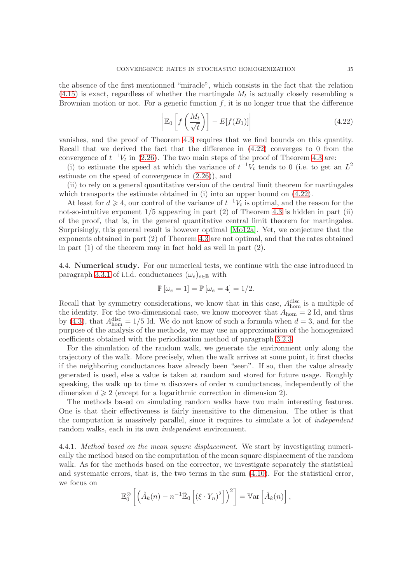the absence of the first mentionned "miracle", which consists in the fact that the relation  $(4.15)$  is exact, regardless of whether the martingale  $M_t$  is actually closely resembling a Brownian motion or not. For a generic function  $f$ , it is no longer true that the difference

<span id="page-34-0"></span>
$$
\left| \mathbb{E}_0 \left[ f\left(\frac{M_t}{\sqrt{t}}\right) \right] - E[f(B_1)] \right| \tag{4.22}
$$

vanishes, and the proof of Theorem [4.3](#page-32-1) requires that we find bounds on this quantity. Recall that we derived the fact that the difference in [\(4.22\)](#page-34-0) converges to 0 from the convergence of  $t^{-1}V_t$  in [\(2.26\)](#page-9-1). The two main steps of the proof of Theorem [4.3](#page-32-1) are:

(i) to estimate the speed at which the variance of  $t^{-1}V_t$  tends to 0 (i.e. to get an  $L^2$ estimate on the speed of convergence in [\(2.26\)](#page-9-1)), and

(ii) to rely on a general quantitative version of the central limit theorem for martingales which transports the estimate obtained in (i) into an upper bound on  $(4.22)$ .

At least for  $d \ge 4$ , our control of the variance of  $t^{-1}V_t$  is optimal, and the reason for the not-so-intuitive exponent 1/5 appearing in part (2) of Theorem [4.3](#page-32-1) is hidden in part (ii) of the proof, that is, in the general quantitative central limit theorem for martingales. Surprisingly, this general result is however optimal [\[Mo12a\]](#page-42-22). Yet, we conjecture that the exponents obtained in part (2) of Theorem [4.3](#page-32-1) are not optimal, and that the rates obtained in part (1) of the theorem may in fact hold as well in part (2).

4.4. Numerical study. For our numerical tests, we continue with the case introduced in paragraph [3.3.1](#page-19-2) of i.i.d. conductances  $(\omega_e)_{e \in \mathbb{B}}$  with

$$
\mathbb{P}[\omega_e = 1] = \mathbb{P}[\omega_e = 4] = 1/2.
$$

Recall that by symmetry considerations, we know that in this case,  $A<sub>hom</sub><sup>disc</sup>$  is a multiple of the identity. For the two-dimensional case, we know moreover that  $A_{\text{hom}} = 2$  Id, and thus by [\(4.3\)](#page-29-4), that  $A_{\text{hom}}^{\text{disc}} = 1/5$  Id. We do not know of such a formula when  $d = 3$ , and for the purpose of the analysis of the methods, we may use an approximation of the homogenized coefficients obtained with the periodization method of paragraph [3.2.3.](#page-16-1)

For the simulation of the random walk, we generate the environment only along the trajectory of the walk. More precisely, when the walk arrives at some point, it first checks if the neighboring conductances have already been "seen". If so, then the value already generated is used, else a value is taken at random and stored for future usage. Roughly speaking, the walk up to time  $n$  discovers of order  $n$  conductances, independently of the dimension  $d \geq 2$  (except for a logarithmic correction in dimension 2).

The methods based on simulating random walks have two main interesting features. One is that their effectiveness is fairly insensitive to the dimension. The other is that the computation is massively parallel, since it requires to simulate a lot of independent random walks, each in its own *independent* environment.

4.4.1. *Method based on the mean square displacement*. We start by investigating numerically the method based on the computation of the mean square displacement of the random walk. As for the methods based on the corrector, we investigate separately the statistical and systematic errors, that is, the two terms in the sum  $(4.10)$ . For the statistical error, we focus on

$$
\mathbb{E}_0^{\otimes} \left[ \left( \hat{A}_k(n) - n^{-1} \tilde{\mathbb{E}}_0 \left[ \left( \xi \cdot Y_n \right)^2 \right] \right)^2 \right] = \mathbb{V}\mathrm{ar} \left[ \hat{A}_k(n) \right],
$$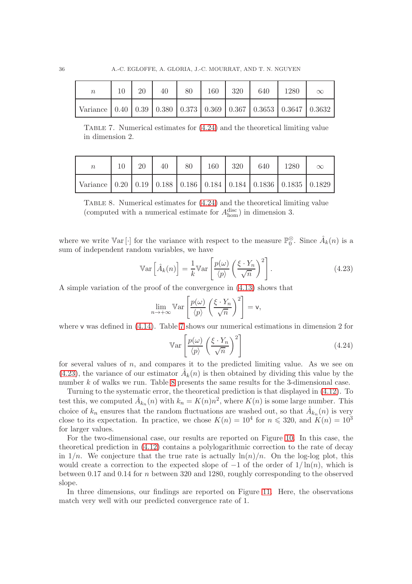| $\boldsymbol{n}$                                                                  | 20 | 40 | 80 | 160 | 320 | 640 | 1280 | $\infty$ |
|-----------------------------------------------------------------------------------|----|----|----|-----|-----|-----|------|----------|
| Variance   0.40   0.39   0.380   0.373   0.369   0.367   0.3653   0.3647   0.3632 |    |    |    |     |     |     |      |          |

<span id="page-35-1"></span>Table 7. Numerical estimates for [\(4.24\)](#page-35-0) and the theoretical limiting value in dimension 2.

| $\boldsymbol{n}$                                                                  | 20 |  | 40   80   160   320 | 640 | 1280 |  |
|-----------------------------------------------------------------------------------|----|--|---------------------|-----|------|--|
| Variance   0.20   0.19   0.188   0.186   0.184   0.184   0.1836   0.1835   0.1829 |    |  |                     |     |      |  |

<span id="page-35-3"></span>Table 8. Numerical estimates for [\(4.24\)](#page-35-0) and the theoretical limiting value (computed with a numerical estimate for  $A_{\text{hom}}^{\text{disc}}$ ) in dimension 3.

where we write  $\mathbb{V}\text{ar}[\cdot]$  for the variance with respect to the measure  $\mathbb{P}^{\otimes}_{0}$ . Since  $\hat{A}_{k}(n)$  is a sum of independent random variables, we have

<span id="page-35-2"></span>
$$
\mathbb{V}\text{ar}\left[\hat{A}_k(n)\right] = \frac{1}{k} \mathbb{V}\text{ar}\left[\frac{p(\omega)}{\langle p \rangle} \left(\frac{\xi \cdot Y_n}{\sqrt{n}}\right)^2\right].\tag{4.23}
$$

A simple variation of the proof of the convergence in [\(4.13\)](#page-31-5) shows that

$$
\lim_{n \to +\infty} \mathbb{V}\text{ar}\left[\frac{p(\omega)}{\langle p \rangle} \left(\frac{\xi \cdot Y_n}{\sqrt{n}}\right)^2\right] = \mathsf{v},
$$

where v was defined in  $(4.14)$ . Table [7](#page-35-1) shows our numerical estimations in dimension 2 for

<span id="page-35-0"></span>
$$
\mathbb{V}\text{ar}\left[\frac{p(\omega)}{\langle p\rangle}\left(\frac{\xi \cdot Y_n}{\sqrt{n}}\right)^2\right] \tag{4.24}
$$

for several values of  $n$ , and compares it to the predicted limiting value. As we see on [\(4.23\)](#page-35-2), the variance of our estimator  $\hat{A}_k(n)$  is then obtained by dividing this value by the number k of walks we run. Table [8](#page-35-3) presents the same results for the 3-dimensional case.

Turning to the systematic error, the theoretical prediction is that displayed in [\(4.12\)](#page-31-1). To test this, we computed  $\hat{A}_{k_n}(n)$  with  $k_n = K(n)n^2$ , where  $K(n)$  is some large number. This choice of  $k_n$  ensures that the random fluctuations are washed out, so that  $\hat{A}_{k_n}(n)$  is very close to its expectation. In practice, we chose  $K(n) = 10^4$  for  $n \le 320$ , and  $K(n) = 10^3$ for larger values.

For the two-dimensional case, our results are reported on Figure [10.](#page-36-0) In this case, the theoretical prediction in [\(4.12\)](#page-31-1) contains a polylogarithmic correction to the rate of decay in  $1/n$ . We conjecture that the true rate is actually  $\ln(n)/n$ . On the log-log plot, this would create a correction to the expected slope of  $-1$  of the order of  $1/\ln(n)$ , which is between 0.17 and 0.14 for n between 320 and 1280, roughly corresponding to the observed slope.

In three dimensions, our findings are reported on Figure [11.](#page-36-1) Here, the observations match very well with our predicted convergence rate of 1.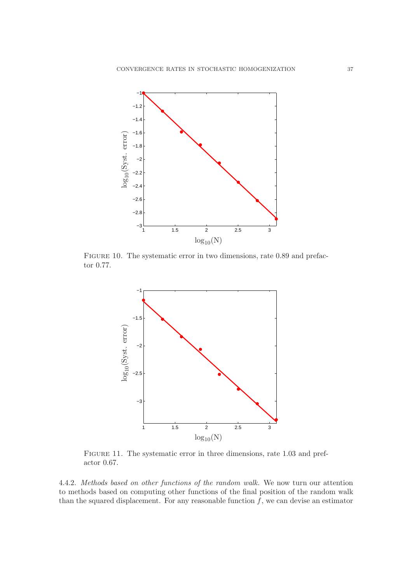

FIGURE 10. The systematic error in two dimensions, rate 0.89 and prefactor 0.77.

<span id="page-36-0"></span>

<span id="page-36-1"></span>Figure 11. The systematic error in three dimensions, rate 1.03 and prefactor 0.67.

4.4.2. Methods based on other functions of the random walk. We now turn our attention to methods based on computing other functions of the final position of the random walk than the squared displacement. For any reasonable function  $f$ , we can devise an estimator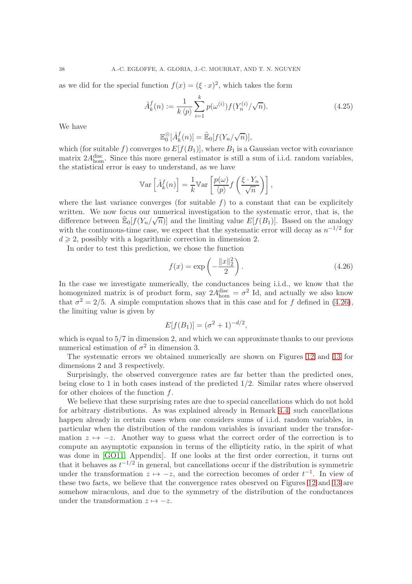as we did for the special function  $f(x) = (\xi \cdot x)^2$ , which takes the form

$$
\hat{A}_k^f(n) := \frac{1}{k \langle p \rangle} \sum_{i=1}^k p(\omega^{(i)}) f(Y_n^{(i)} / \sqrt{n}). \tag{4.25}
$$

We have

$$
\mathbb{E}^{\otimes}_0[\hat{A}^f_k(n)] = \tilde{\mathbb{E}}_0[f(Y_n/\sqrt{n})],
$$

which (for suitable f) converges to  $E[f(B_1)]$ , where  $B_1$  is a Gaussian vector with covariance matrix  $2A_{\text{hom}}^{\text{disc}}$ . Since this more general estimator is still a sum of i.i.d. random variables, the statistical error is easy to understand, as we have

$$
\operatorname{Var}\left[\hat{A}_k^f(n)\right] = \frac{1}{k} \operatorname{Var}\left[\frac{p(\omega)}{\langle p \rangle} f\left(\frac{\xi \cdot Y_n}{\sqrt{n}}\right)\right],
$$

where the last variance converges (for suitable  $f$ ) to a constant that can be explicitely written. We now focus our numerical investigation to the systematic error, that is, the difference between  $\mathbb{E}_{0}[f(Y_n/\sqrt{n})]$  and the limiting value  $E[f(B_1)]$ . Based on the analogy with the continuous-time case, we expect that the systematic error will decay as  $n^{-1/2}$  for  $d \geq 2$ , possibly with a logarithmic correction in dimension 2.

In order to test this prediction, we chose the function

<span id="page-37-0"></span>
$$
f(x) = \exp\left(-\frac{\|x\|_2^2}{2}\right).
$$
 (4.26)

In the case we investigate numerically, the conductances being i.i.d., we know that the homogenized matrix is of product form, say  $2A_{\text{hom}}^{\text{disc}} = \sigma^2$  Id, and actually we also know that  $\sigma^2 = 2/5$ . A simple computation shows that in this case and for f defined in [\(4.26\)](#page-37-0), the limiting value is given by

$$
E[f(B_1)] = (\sigma^2 + 1)^{-d/2},
$$

which is equal to  $5/7$  in dimension 2, and which we can approximate thanks to our previous numerical estimation of  $\sigma^2$  in dimension 3.

The systematic errors we obtained numerically are shown on Figures [12](#page-38-0) and [13](#page-38-1) for dimensions 2 and 3 respectively.

Surprisingly, the observed convergence rates are far better than the predicted ones, being close to 1 in both cases instead of the predicted 1/2. Similar rates where observed for other choices of the function  $f$ .

We believe that these surprising rates are due to special cancellations which do not hold for arbitrary distributions. As was explained already in Remark [4.4,](#page-33-2) such cancellations happen already in certain cases when one considers sums of i.i.d. random variables, in particular when the distribution of the random variables is invariant under the transformation  $z \mapsto -z$ . Another way to guess what the correct order of the correction is to compute an asymptotic expansion in terms of the ellipticity ratio, in the spirit of what was done in [\[GO11,](#page-42-0) Appendix]. If one looks at the first order correction, it turns out that it behaves as  $t^{-1/2}$  in general, but cancellations occur if the distribution is symmetric under the transformation  $z \mapsto -z$ , and the correction becomes of order  $t^{-1}$ . In view of these two facts, we believe that the convergence rates obesrved on Figures [12](#page-38-0) and [13](#page-38-1) are somehow miraculous, and due to the symmetry of the distribution of the conductances under the transformation  $z \mapsto -z$ .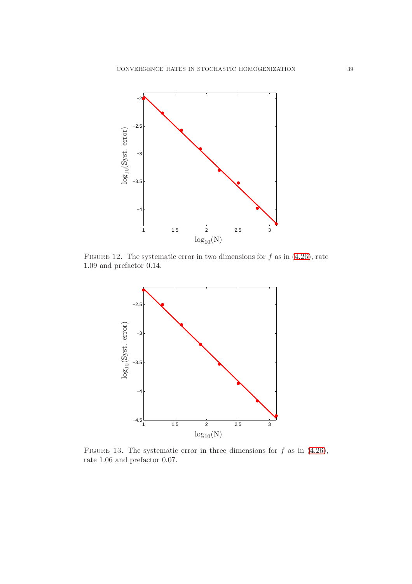

FIGURE 12. The systematic error in two dimensions for  $f$  as in [\(4.26\)](#page-37-0), rate 1.09 and prefactor 0.14.

<span id="page-38-0"></span>

<span id="page-38-1"></span>FIGURE 13. The systematic error in three dimensions for  $f$  as in [\(4.26\)](#page-37-0), rate 1.06 and prefactor 0.07.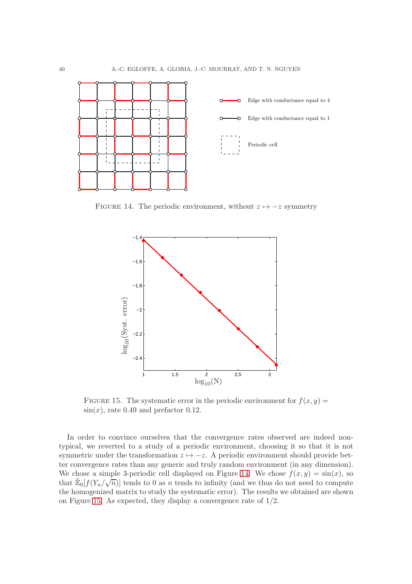

FIGURE 14. The periodic environment, without  $z \mapsto -z$  symmetry

<span id="page-39-0"></span>

<span id="page-39-1"></span>FIGURE 15. The systematic error in the periodic environment for  $f(x, y) =$  $\sin(x)$ , rate 0.49 and prefactor 0.12.

In order to convince ourselves that the convergence rates observed are indeed nontypical, we reverted to a study of a periodic environment, choosing it so that it is not symmetric under the transformation  $z \mapsto -z$ . A periodic environment should provide better convergence rates than any generic and truly random environment (in any dimension). We chose a simple 3-periodic cell displayed on Figure [14.](#page-39-0) We chose  $f(x, y) = \sin(x)$ , so that  $\mathbb{E}_0[f(Y_n/\sqrt{n})]$  tends to 0 as *n* tends to infinity (and we thus do not need to compute the homogenized matrix to study the systematic error). The results we obtained are shown on Figure [15.](#page-39-1) As expected, they display a convergence rate of 1/2.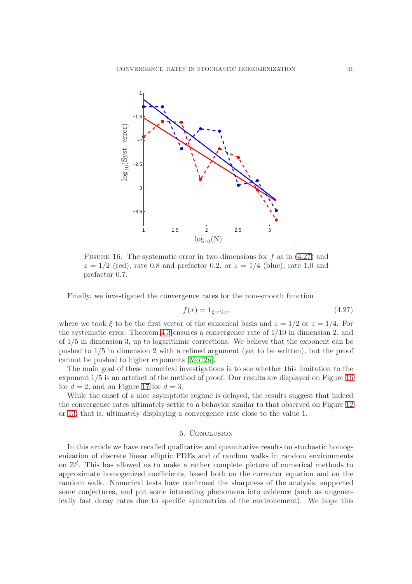

<span id="page-40-1"></span>FIGURE 16. The systematic error in two dimensions for f as in  $(4.27)$  and  $z = 1/2$  (red), rate 0.8 and prefactor 0.2, or  $z = 1/4$  (blue), rate 1.0 and prefactor 0.7.

Finally, we investigated the convergence rates for the non-smooth function

<span id="page-40-0"></span>
$$
f(x) = \mathbf{1}_{\xi \cdot x \leq z},\tag{4.27}
$$

where we took  $\xi$  to be the first vector of the canonical basis and  $z = 1/2$  or  $z = 1/4$ . For the systematic error, Theorem [4.3](#page-32-1) ensures a convergence rate of 1/10 in dimension 2, and of 1/5 in dimension 3, up to logarithmic corrections. We believe that the exponent can be pushed to 1/5 in dimension 2 with a refined argument (yet to be written), but the proof cannot be pushed to higher exponents [\[Mo12a\]](#page-42-22).

The main goal of these numerical investigations is to see whether this limitation to the exponent 1/5 is an artefact of the method of proof. Our results are displayed on Figure [16](#page-40-1) for  $d = 2$ , and on Figure [17](#page-41-2) for  $d = 3$ .

While the onset of a nice asymptotic regime is delayed, the results suggest that indeed the convergence rates ultimately settle to a behavior similar to that observed on Figure [12](#page-38-0) or [13,](#page-38-1) that is, ultimately displaying a convergence rate close to the value 1.

#### 5. Conclusion

In this article we have recalled qualitative and quantitative results on stochastic homogenization of discrete linear elliptic PDEs and of random walks in random environments on  $\mathbb{Z}^d$ . This has allowed us to make a rather complete picture of numerical methods to approximate homogenized coefficients, based both on the corrector equation and on the random walk. Numerical tests have confirmed the sharpness of the analysis, supported some conjectures, and put some interesting phenomena into evidence (such as ungenerically fast decay rates due to specific symmetries of the environement). We hope this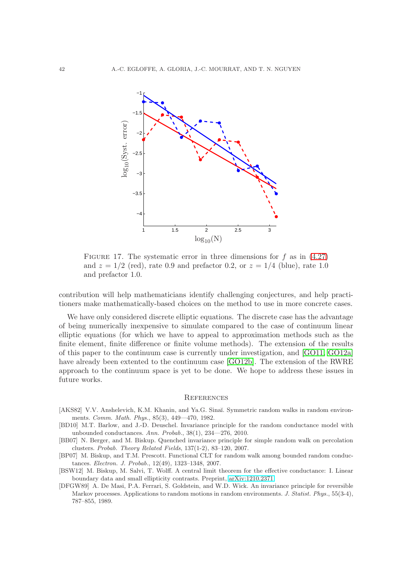

<span id="page-41-2"></span>FIGURE 17. The systematic error in three dimensions for f as in  $(4.27)$ and  $z = 1/2$  (red), rate 0.9 and prefactor 0.2, or  $z = 1/4$  (blue), rate 1.0 and prefactor 1.0.

contribution will help mathematicians identify challenging conjectures, and help practitioners make mathematically-based choices on the method to use in more concrete cases.

We have only considered discrete elliptic equations. The discrete case has the advantage of being numerically inexpensive to simulate compared to the case of continuum linear elliptic equations (for which we have to appeal to approximation methods such as the finite element, finite difference or finite volume methods). The extension of the results of this paper to the continuum case is currently under investigation, and [\[GO11,](#page-42-0) [GO12a\]](#page-42-1) have already been extented to the continuum case [\[GO12b\]](#page-42-23). The extension of the RWRE approach to the continuum space is yet to be done. We hope to address these issues in future works.

### **REFERENCES**

- [AKS82] V.V. Anshelevich, K.M. Khanin, and Ya.G. Sinaĭ. Symmetric random walks in random environments. Comm. Math. Phys., 85(3), 449—470, 1982.
- [BD10] M.T. Barlow, and J.-D. Deuschel. Invariance principle for the random conductance model with unbounded conductances. Ann. Probab., 38(1), 234—276, 2010.
- [BB07] N. Berger, and M. Biskup. Quenched invariance principle for simple random walk on percolation clusters. Probab. Theory Related Fields, 137(1-2), 83–120, 2007.
- [BP07] M. Biskup, and T.M. Prescott. Functional CLT for random walk among bounded random conductances. Electron. J. Probab., 12(49), 1323–1348, 2007.
- <span id="page-41-1"></span>[BSW12] M. Biskup, M. Salvi, T. Wolff. A central limit theorem for the effective conductance: I. Linear boundary data and small ellipticity contrasts. Preprint, [arXiv:1210.2371.](http://arxiv.org/abs/1210.2371)
- <span id="page-41-0"></span>[DFGW89] A. De Masi, P.A. Ferrari, S. Goldstein, and W.D. Wick. An invariance principle for reversible Markov processes. Applications to random motions in random environments. J. Statist. Phys., 55(3-4), 787–855, 1989.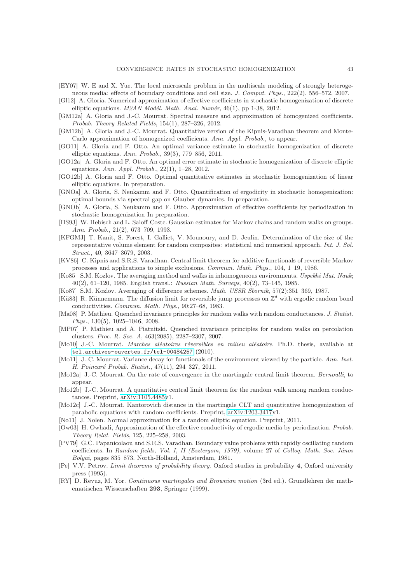- <span id="page-42-16"></span>[EY07] W. E and X. Yue. The local microscale problem in the multiscale modeling of strongly heterogeneous media: effects of boundary conditions and cell size. J. Comput. Phys., 222(2), 556–572, 2007.
- <span id="page-42-4"></span>[Gl12] A. Gloria. Numerical approximation of effective coefficients in stochastic homogenization of discrete elliptic equations.  $M2AN \text{ Model}$ . Math. Anal. Numér, 46(1), pp 1-38, 2012.
- <span id="page-42-5"></span>[GM12a] A. Gloria and J.-C. Mourrat. Spectral measure and approximation of homogenized coefficients. Probab. Theory Related Fields, 154(1), 287–326, 2012.
- <span id="page-42-6"></span>[GM12b] A. Gloria and J.-C. Mourrat. Quantitative version of the Kipnis-Varadhan theorem and Monte-Carlo approximation of homogenized coefficients. Ann. Appl. Probab., to appear.
- <span id="page-42-0"></span>[GO11] A. Gloria and F. Otto. An optimal variance estimate in stochastic homogenization of discrete elliptic equations. Ann. Probab., 39(3), 779–856, 2011.
- <span id="page-42-1"></span>[GO12a] A. Gloria and F. Otto. An optimal error estimate in stochastic homogenization of discrete elliptic equations. Ann. Appl. Probab., 22(1), 1–28, 2012.
- <span id="page-42-23"></span>[GO12b] A. Gloria and F. Otto. Optimal quantitative estimates in stochastic homogenization of linear elliptic equations. In preparation.
- <span id="page-42-3"></span>[GNOa] A. Gloria, S. Neukamm and F. Otto. Quantification of ergodicity in stochastic homogenization: optimal bounds via spectral gap on Glauber dynamics. In preparation.
- <span id="page-42-7"></span>[GNOb] A. Gloria, S. Neukamm and F. Otto. Approximation of effective coefficients by periodization in stochastic homogenization In preparation.
- [HS93] W. Hebisch and L. Saloff-Coste. Gaussian estimates for Markov chains and random walks on groups. Ann. Probab., 21(2), 673–709, 1993.
- <span id="page-42-17"></span>[KFGMJ] T. Kanit, S. Forest, I. Galliet, V. Mounoury, and D. Jeulin. Determination of the size of the representative volume element for random composites: statistical and numerical approach. Int. J. Sol. Struct., 40, 3647–3679, 2003.
- <span id="page-42-10"></span>[KV86] C. Kipnis and S.R.S. Varadhan. Central limit theorem for additive functionals of reversible Markov processes and applications to simple exclusions. Commun. Math. Phys., 104, 1–19, 1986.
- [Ko85] S.M. Kozlov. The averaging method and walks in inhomogeneous environments. Uspekhi Mat. Nauk; 40(2), 61–120, 1985. English transl.: Russian Math. Surveys, 40(2), 73–145, 1985.
- <span id="page-42-9"></span>[Ko87] S.M. Kozlov. Averaging of difference schemes. Math. USSR Sbornik, 57(2):351–369, 1987.
- <span id="page-42-11"></span>[Kü83] R. Künnemann. The diffusion limit for reversible jump processes on  $\mathbb{Z}^d$  with ergodic random bond conductivities. Commun. Math. Phys., 90:27–68, 1983.
- [Ma08] P. Mathieu. Quenched invariance principles for random walks with random conductances. J. Statist. Phys., 130(5), 1025–1046, 2008.
- <span id="page-42-18"></span>[MP07] P. Mathieu and A. Piatnitski. Quenched invariance principles for random walks on percolation clusters. Proc. R. Soc. A, 463(2085), 2287–2307, 2007.
- <span id="page-42-12"></span>[Mo10] J.-C. Mourrat. Marches aléatoires réversibles en milieu aléatoire. Ph.D. thesis, available at <tel.archives-ouvertes.fr/tel-00484257> (2010).
- <span id="page-42-2"></span>[Mo11] J.-C. Mourrat. Variance decay for functionals of the environment viewed by the particle. Ann. Inst. H. Poincaré Probab. Statist., 47(11), 294-327, 2011.
- <span id="page-42-22"></span>[Mo12a] J.-C. Mourrat. On the rate of convergence in the martingale central limit theorem. Bernoulli, to appear.
- <span id="page-42-20"></span>[Mo12b] J.-C. Mourrat. A quantitative central limit theorem for the random walk among random conductances. Preprint, [arXiv:1105.4485v](http://arxiv.org/abs/1105.4485)1.
- <span id="page-42-19"></span>[Mo12c] J.-C. Mourrat. Kantorovich distance in the martingale CLT and quantitative homogenization of parabolic equations with random coefficients. Preprint, [arXiv:1203.3417v](http://arxiv.org/abs/1203.3417)1.
- <span id="page-42-14"></span>[No11] J. Nolen. Normal approximation for a random elliptic equation. Preprint, 2011.
- <span id="page-42-15"></span>[Ow03] H. Owhadi, Approximation of the effective conductivity of ergodic media by periodization. Probab. Theory Relat. Fields, 125, 225–258, 2003.
- <span id="page-42-8"></span>[PV79] G.C. Papanicolaou and S.R.S. Varadhan. Boundary value problems with rapidly oscillating random coefficients. In Random fields, Vol. I, II (Esztergom, 1979), volume 27 of Colloq. Math. Soc. János Bolyai, pages 835–873. North-Holland, Amsterdam, 1981.
- <span id="page-42-21"></span>[Pe] V.V. Petrov. Limit theorems of probability theory. Oxford studies in probability 4, Oxford university press (1995).
- <span id="page-42-13"></span>[RY] D. Revuz, M. Yor. Continuous martingales and Brownian motion (3rd ed.). Grundlehren der mathematischen Wissenschaften 293, Springer (1999).